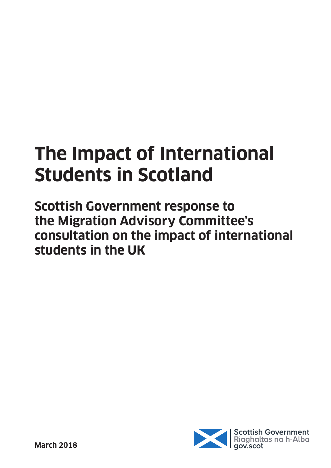# **The Impact of International Students in Scotland**

**Scottish Government response to the Migration Advisory Committee's consultation on the impact of international students in the UK**

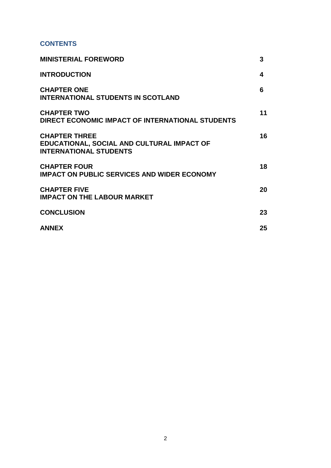## **CONTENTS**

| <b>MINISTERIAL FOREWORD</b>                                                                         | 3  |
|-----------------------------------------------------------------------------------------------------|----|
| <b>INTRODUCTION</b>                                                                                 | 4  |
| <b>CHAPTER ONE</b><br><b>INTERNATIONAL STUDENTS IN SCOTLAND</b>                                     | 6  |
| <b>CHAPTER TWO</b><br>DIRECT ECONOMIC IMPACT OF INTERNATIONAL STUDENTS                              | 11 |
| <b>CHAPTER THREE</b><br>EDUCATIONAL, SOCIAL AND CULTURAL IMPACT OF<br><b>INTERNATIONAL STUDENTS</b> | 16 |
| <b>CHAPTER FOUR</b><br><b>IMPACT ON PUBLIC SERVICES AND WIDER ECONOMY</b>                           | 18 |
| <b>CHAPTER FIVE</b><br><b>IMPACT ON THE LABOUR MARKET</b>                                           | 20 |
| <b>CONCLUSION</b>                                                                                   | 23 |
| <b>ANNEX</b>                                                                                        | 25 |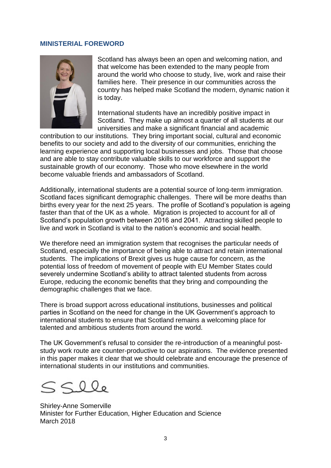#### **MINISTERIAL FOREWORD**



Scotland has always been an open and welcoming nation, and that welcome has been extended to the many people from around the world who choose to study, live, work and raise their families here. Their presence in our communities across the country has helped make Scotland the modern, dynamic nation it is today.

International students have an incredibly positive impact in Scotland. They make up almost a quarter of all students at our universities and make a significant financial and academic

contribution to our institutions. They bring important social, cultural and economic benefits to our society and add to the diversity of our communities, enriching the learning experience and supporting local businesses and jobs. Those that choose and are able to stay contribute valuable skills to our workforce and support the sustainable growth of our economy. Those who move elsewhere in the world become valuable friends and ambassadors of Scotland.

Additionally, international students are a potential source of long-term immigration. Scotland faces significant demographic challenges. There will be more deaths than births every year for the next 25 years. The profile of Scotland's population is ageing faster than that of the UK as a whole. Migration is projected to account for all of Scotland's population growth between 2016 and 2041. Attracting skilled people to live and work in Scotland is vital to the nation's economic and social health.

We therefore need an immigration system that recognises the particular needs of Scotland, especially the importance of being able to attract and retain international students. The implications of Brexit gives us huge cause for concern, as the potential loss of freedom of movement of people with EU Member States could severely undermine Scotland's ability to attract talented students from across Europe, reducing the economic benefits that they bring and compounding the demographic challenges that we face.

There is broad support across educational institutions, businesses and political parties in Scotland on the need for change in the UK Government's approach to international students to ensure that Scotland remains a welcoming place for talented and ambitious students from around the world.

The UK Government's refusal to consider the re-introduction of a meaningful poststudy work route are counter-productive to our aspirations. The evidence presented in this paper makes it clear that we should celebrate and encourage the presence of international students in our institutions and communities.

 $S$ SII

Shirley-Anne Somerville Minister for Further Education, Higher Education and Science March 2018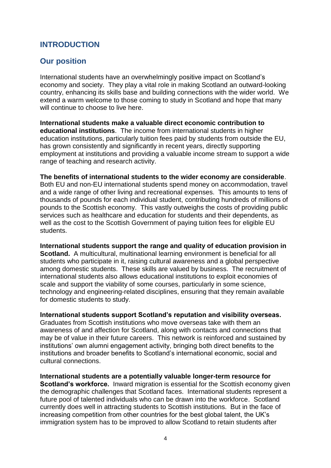## **INTRODUCTION**

## **Our position**

International students have an overwhelmingly positive impact on Scotland's economy and society. They play a vital role in making Scotland an outward-looking country, enhancing its skills base and building connections with the wider world. We extend a warm welcome to those coming to study in Scotland and hope that many will continue to choose to live here.

**International students make a valuable direct economic contribution to educational institutions**. The income from international students in higher education institutions, particularly tuition fees paid by students from outside the EU, has grown consistently and significantly in recent years, directly supporting employment at institutions and providing a valuable income stream to support a wide range of teaching and research activity.

**The benefits of international students to the wider economy are considerable**. Both EU and non-EU international students spend money on accommodation, travel and a wide range of other living and recreational expenses. This amounts to tens of thousands of pounds for each individual student, contributing hundreds of millions of pounds to the Scottish economy. This vastly outweighs the costs of providing public services such as healthcare and education for students and their dependents, as well as the cost to the Scottish Government of paying tuition fees for eligible EU students.

**International students support the range and quality of education provision in Scotland.** A multicultural, multinational learning environment is beneficial for all students who participate in it, raising cultural awareness and a global perspective among domestic students. These skills are valued by business. The recruitment of international students also allows educational institutions to exploit economies of scale and support the viability of some courses, particularly in some science, technology and engineering-related disciplines, ensuring that they remain available for domestic students to study.

**International students support Scotland's reputation and visibility overseas.** Graduates from Scottish institutions who move overseas take with them an awareness of and affection for Scotland, along with contacts and connections that may be of value in their future careers. This network is reinforced and sustained by institutions' own alumni engagement activity, bringing both direct benefits to the institutions and broader benefits to Scotland's international economic, social and cultural connections.

**International students are a potentially valuable longer-term resource for Scotland's workforce.** Inward migration is essential for the Scottish economy given the demographic challenges that Scotland faces. International students represent a future pool of talented individuals who can be drawn into the workforce. Scotland currently does well in attracting students to Scottish institutions. But in the face of increasing competition from other countries for the best global talent, the UK's immigration system has to be improved to allow Scotland to retain students after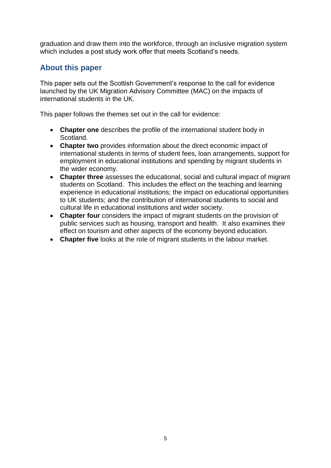graduation and draw them into the workforce, through an inclusive migration system which includes a post study work offer that meets Scotland's needs.

## **About this paper**

This paper sets out the Scottish Government's response to the call for evidence launched by the UK Migration Advisory Committee (MAC) on the impacts of international students in the UK.

This paper follows the themes set out in the call for evidence:

- **Chapter one** describes the profile of the international student body in Scotland.
- **Chapter two** provides information about the direct economic impact of international students in terms of student fees, loan arrangements, support for employment in educational institutions and spending by migrant students in the wider economy.
- **Chapter three** assesses the educational, social and cultural impact of migrant students on Scotland. This includes the effect on the teaching and learning experience in educational institutions; the impact on educational opportunities to UK students; and the contribution of international students to social and cultural life in educational institutions and wider society.
- **Chapter four** considers the impact of migrant students on the provision of public services such as housing, transport and health. It also examines their effect on tourism and other aspects of the economy beyond education.
- **Chapter five** looks at the role of migrant students in the labour market.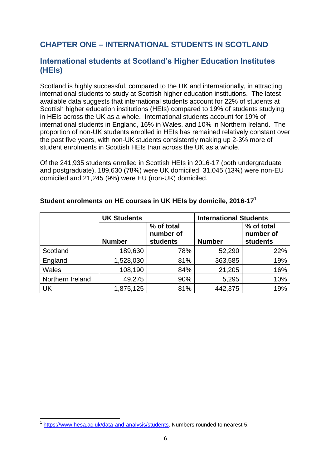## **CHAPTER ONE – INTERNATIONAL STUDENTS IN SCOTLAND**

## **International students at Scotland's Higher Education Institutes (HEIs)**

Scotland is highly successful, compared to the UK and internationally, in attracting international students to study at Scottish higher education institutions. The latest available data suggests that international students account for 22% of students at Scottish higher education institutions (HEIs) compared to 19% of students studying in HEIs across the UK as a whole. International students account for 19% of international students in England, 16% in Wales, and 10% in Northern Ireland. The proportion of non-UK students enrolled in HEIs has remained relatively constant over the past five years, with non-UK students consistently making up 2-3% more of student enrolments in Scottish HEIs than across the UK as a whole.

Of the 241,935 students enrolled in Scottish HEIs in 2016-17 (both undergraduate and postgraduate), 189,630 (78%) were UK domiciled, 31,045 (13%) were non-EU domiciled and 21,245 (9%) were EU (non-UK) domiciled.

|                  | <b>UK Students</b> |                                            | <b>International Students</b> |                                            |  |  |
|------------------|--------------------|--------------------------------------------|-------------------------------|--------------------------------------------|--|--|
|                  | <b>Number</b>      | % of total<br>number of<br><b>students</b> | <b>Number</b>                 | % of total<br>number of<br><b>students</b> |  |  |
| Scotland         | 189,630            | 78%                                        | 52,290                        | 22%                                        |  |  |
| England          | 1,528,030          | 81%                                        | 363,585                       | 19%                                        |  |  |
| <b>Wales</b>     | 108,190            | 84%                                        | 21,205                        | 16%                                        |  |  |
| Northern Ireland | 49,275             | 90%                                        | 5,295                         | 10%                                        |  |  |
| UK               | 1,875,125          | 81%                                        | 442,375                       | 19%                                        |  |  |

#### **Student enrolments on HE courses in UK HEIs by domicile, 2016-17 1**

<sup>-&</sup>lt;br><sup>1</sup> https://www.hesa.ac.uk/data-and-analysis/students</u>. Numbers rounded to nearest 5.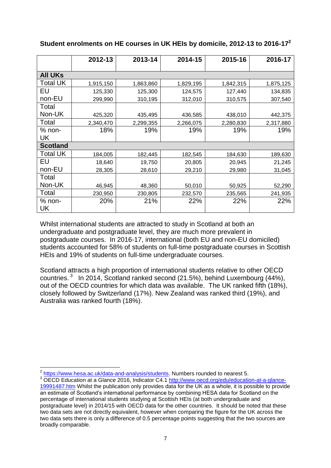|                 | 2012-13   | 2013-14   | 2014-15   | 2015-16   | 2016-17   |
|-----------------|-----------|-----------|-----------|-----------|-----------|
| <b>All UKs</b>  |           |           |           |           |           |
| <b>Total UK</b> | 1,915,150 | 1,863,860 | 1,829,195 | 1,842,315 | 1,875,125 |
| EU              | 125,330   | 125,300   | 124,575   | 127,440   | 134,835   |
| non-EU          | 299,990   | 310,195   | 312,010   | 310,575   | 307,540   |
| Total           |           |           |           |           |           |
| Non-UK          | 425,320   | 435,495   | 436,585   | 438,010   | 442,375   |
| Total           | 2,340,470 | 2,299,355 | 2,266,075 | 2,280,830 | 2,317,880 |
| $%$ non-        | 18%       | 19%       | 19%       | 19%       | 19%       |
| UK              |           |           |           |           |           |
| <b>Scotland</b> |           |           |           |           |           |
| <b>Total UK</b> | 184,005   | 182,445   | 182,545   | 184,630   | 189,630   |
| EU              | 18,640    | 19,750    | 20,805    | 20,945    | 21,245    |
| non-EU          | 28,305    | 28,610    | 29,210    | 29,980    | 31,045    |
| Total           |           |           |           |           |           |
| Non-UK          | 46,945    | 48,360    | 50,010    | 50,925    | 52,290    |
| Total           | 230,950   | 230,805   | 232,570   | 235,565   | 241,935   |
| $%$ non-        | 20%       | 21%       | 22%       | 22%       | 22%       |
| UK              |           |           |           |           |           |

#### **Student enrolments on HE courses in UK HEIs by domicile, 2012-13 to 2016-17<sup>2</sup>**

Whilst international students are attracted to study in Scotland at both an undergraduate and postgraduate level, they are much more prevalent in postgraduate courses. In 2016-17, international (both EU and non-EU domiciled) students accounted for 58% of students on full-time postgraduate courses in Scottish HEIs and 19% of students on full-time undergraduate courses.

Scotland attracts a high proportion of international students relative to other OECD countries.  $3 \text{ In } 2014$ , Scotland ranked second (21.5%), behind Luxembourg (44%), out of the OECD countries for which data was available. The UK ranked fifth (18%), closely followed by Switzerland (17%). New Zealand was ranked third (19%), and Australia was ranked fourth (18%).

 $\overline{\phantom{a}}$ <sup>2</sup> [https://www.hesa.ac.uk/data-and-analysis/students.](https://www.hesa.ac.uk/data-and-analysis/students) Numbers rounded to nearest 5.

<sup>&</sup>lt;sup>3</sup> OECD Education at a Glance 2016, Indicator C4.1 [http://www.oecd.org/edu/education-at-a-glance-](http://www.oecd.org/edu/education-at-a-glance-19991487.htm)[19991487.htm](http://www.oecd.org/edu/education-at-a-glance-19991487.htm) Whilst the publication only provides data for the UK as a whole, it is possible to provide an estimate of Scotland's international performance by combining HESA data for Scotland on the percentage of international students studying at Scottish HEIs (at both undergraduate and postgraduate level) in 2014/15 with OECD data for the other countries. It should be noted that these two data sets are not directly equivalent, however when comparing the figure for the UK across the two data sets there is only a difference of 0.5 percentage points suggesting that the two sources are broadly comparable.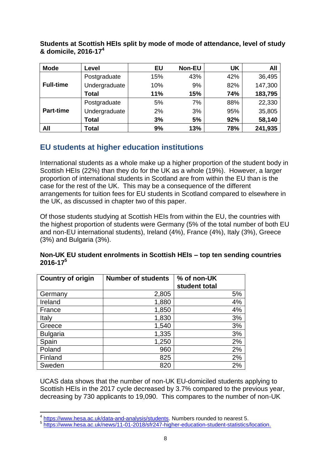| <b>Mode</b>      | Level         | <b>EU</b> | <b>Non-EU</b> | <b>UK</b> | All     |
|------------------|---------------|-----------|---------------|-----------|---------|
|                  | Postgraduate  | 15%       | 43%           | 42%       | 36,495  |
| <b>Full-time</b> | Undergraduate | 10%       | 9%            | 82%       | 147,300 |
|                  | Total         | 11%       | 15%           | 74%       | 183,795 |
| <b>Part-time</b> | Postgraduate  | 5%        | 7%            | 88%       | 22,330  |
|                  | Undergraduate | 2%        | 3%            | 95%       | 35,805  |
|                  | Total         | 3%        | 5%            | 92%       | 58,140  |
| All              | Total         | 9%        | 13%           | 78%       | 241,935 |

**Students at Scottish HEIs split by mode of mode of attendance, level of study & domicile, 2016-17<sup>4</sup>**

## **EU students at higher education institutions**

International students as a whole make up a higher proportion of the student body in Scottish HEIs (22%) than they do for the UK as a whole (19%). However, a larger proportion of international students in Scotland are from within the EU than is the case for the rest of the UK. This may be a consequence of the different arrangements for tuition fees for EU students in Scotland compared to elsewhere in the UK, as discussed in chapter two of this paper.

Of those students studying at Scottish HEIs from within the EU, the countries with the highest proportion of students were Germany (5% of the total number of both EU and non-EU international students), Ireland (4%), France (4%), Italy (3%), Greece (3%) and Bulgaria (3%).

| <b>Country of origin</b> | <b>Number of students</b> | % of non-UK<br>student total |
|--------------------------|---------------------------|------------------------------|
| Germany                  | 2,805                     | 5%                           |
| Ireland                  | 1,880                     | 4%                           |
| France                   | 1,850                     | 4%                           |
| Italy                    | 1,830                     | 3%                           |
| Greece                   | 1,540                     | 3%                           |
| <b>Bulgaria</b>          | 1,335                     | 3%                           |
| Spain                    | 1,250                     | 2%                           |
| Poland                   | 960                       | 2%                           |
| Finland                  | 825                       | 2%                           |
| Sweden                   | 820                       | 2%                           |

#### **Non-UK EU student enrolments in Scottish HEIs – top ten sending countries 2016-17<sup>5</sup>**

UCAS data shows that the number of non-UK EU-domiciled students applying to Scottish HEIs in the 2017 cycle decreased by 3.7% compared to the previous year, decreasing by 730 applicants to 19,090. This compares to the number of non-UK

 4 [https://www.hesa.ac.uk/data-and-analysis/students.](https://www.hesa.ac.uk/data-and-analysis/students) Numbers rounded to nearest 5.

<sup>&</sup>lt;sup>5</sup> [https://www.hesa.ac.uk/news/11-01-2018/sfr247-higher-education-student-statistics/location.](https://www.hesa.ac.uk/news/11-01-2018/sfr247-higher-education-student-statistics/location)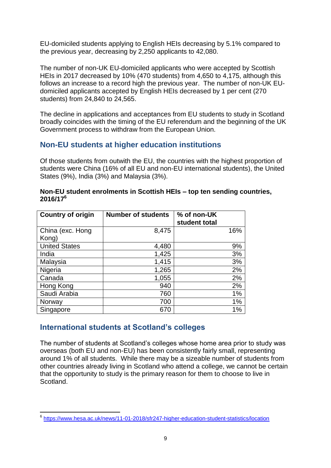EU-domiciled students applying to English HEIs decreasing by 5.1% compared to the previous year, decreasing by 2,250 applicants to 42,080.

The number of non-UK EU-domiciled applicants who were accepted by Scottish HEIs in 2017 decreased by 10% (470 students) from 4,650 to 4,175, although this follows an increase to a record high the previous year. The number of non-UK EUdomiciled applicants accepted by English HEIs decreased by 1 per cent (270 students) from 24,840 to 24,565.

The decline in applications and acceptances from EU students to study in Scotland broadly coincides with the timing of the EU referendum and the beginning of the UK Government process to withdraw from the European Union.

## **Non-EU students at higher education institutions**

Of those students from outwith the EU, the countries with the highest proportion of students were China (16% of all EU and non-EU international students), the United States (9%), India (3%) and Malaysia (3%).

| <b>Country of origin</b> | <b>Number of students</b> | % of non-UK<br>student total |
|--------------------------|---------------------------|------------------------------|
| China (exc. Hong         | 8,475                     | 16%                          |
| Kong)                    |                           |                              |
| <b>United States</b>     | 4,480                     | 9%                           |
| India                    | 1,425                     | 3%                           |
| Malaysia                 | 1,415                     | 3%                           |
| Nigeria                  | 1,265                     | 2%                           |
| Canada                   | 1,055                     | 2%                           |
| Hong Kong                | 940                       | 2%                           |
| Saudi Arabia             | 760                       | 1%                           |
| Norway                   | 700                       | 1%                           |
| Singapore                | 670                       | 1%                           |

#### **Non-EU student enrolments in Scottish HEIs – top ten sending countries, 2016/17<sup>6</sup>**

## **International students at Scotland's colleges**

The number of students at Scotland's colleges whose home area prior to study was overseas (both EU and non-EU) has been consistently fairly small, representing around 1% of all students. While there may be a sizeable number of students from other countries already living in Scotland who attend a college, we cannot be certain that the opportunity to study is the primary reason for them to choose to live in Scotland.

<sup>-&</sup>lt;br><sup>6</sup> <https://www.hesa.ac.uk/news/11-01-2018/sfr247-higher-education-student-statistics/location>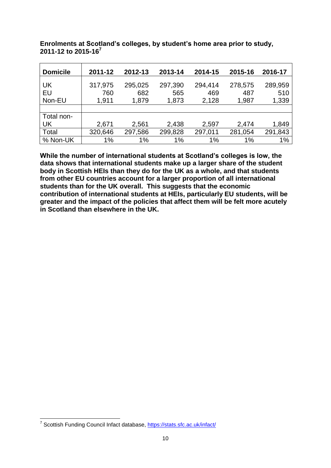| <b>Domicile</b>    | 2011-12                 | 2012-13                 | 2013-14                 | 2014-15                 | 2015-16                 | 2016-17                 |
|--------------------|-------------------------|-------------------------|-------------------------|-------------------------|-------------------------|-------------------------|
| UK<br>EU<br>Non-EU | 317,975<br>760<br>1,911 | 295,025<br>682<br>1,879 | 297,390<br>565<br>1,873 | 294,414<br>469<br>2,128 | 278,575<br>487<br>1,987 | 289,959<br>510<br>1,339 |
|                    |                         |                         |                         |                         |                         |                         |
| Total non-         |                         |                         |                         |                         |                         |                         |
| <b>UK</b>          | 2,671                   | 2,561                   | 2,438                   | 2,597                   | 2,474                   | 1,849                   |
| Total              | 320,646                 | 297,586                 | 299,828                 | 297,011                 | 281,054                 | 291,843                 |
| % Non-UK           | 1%                      | 1%                      | 1%                      | 1%                      | 1%                      | 1%                      |

**Enrolments at Scotland's colleges, by student's home area prior to study, 2011-12 to 2015-16<sup>7</sup>**

**While the number of international students at Scotland's colleges is low, the data shows that international students make up a larger share of the student body in Scottish HEIs than they do for the UK as a whole, and that students from other EU countries account for a larger proportion of all international students than for the UK overall. This suggests that the economic contribution of international students at HEIs, particularly EU students, will be greater and the impact of the policies that affect them will be felt more acutely in Scotland than elsewhere in the UK.**

 7 Scottish Funding Council Infact database,<https://stats.sfc.ac.uk/infact/>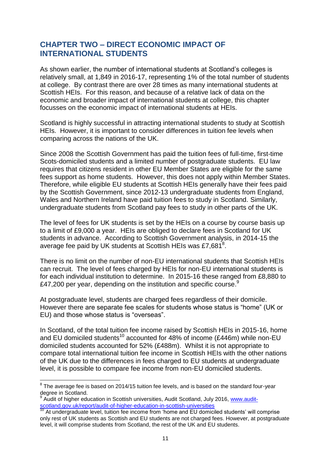## **CHAPTER TWO – DIRECT ECONOMIC IMPACT OF INTERNATIONAL STUDENTS**

As shown earlier, the number of international students at Scotland's colleges is relatively small, at 1,849 in 2016-17, representing 1% of the total number of students at college. By contrast there are over 28 times as many international students at Scottish HEIs. For this reason, and because of a relative lack of data on the economic and broader impact of international students at college, this chapter focusses on the economic impact of international students at HEIs.

Scotland is highly successful in attracting international students to study at Scottish HEIs. However, it is important to consider differences in tuition fee levels when comparing across the nations of the UK.

Since 2008 the Scottish Government has paid the tuition fees of full-time, first-time Scots-domiciled students and a limited number of postgraduate students. EU law requires that citizens resident in other EU Member States are eligible for the same fees support as home students. However, this does not apply within Member States. Therefore, while eligible EU students at Scottish HEIs generally have their fees paid by the Scottish Government, since 2012-13 undergraduate students from England, Wales and Northern Ireland have paid tuition fees to study in Scotland. Similarly, undergraduate students from Scotland pay fees to study in other parts of the UK.

The level of fees for UK students is set by the HEIs on a course by course basis up to a limit of £9,000 a year. HEIs are obliged to declare fees in Scotland for UK students in advance. According to Scottish Government analysis, in 2014-15 the average fee paid by UK students at Scottish HEIs was £7,681 $^8$ .

There is no limit on the number of non-EU international students that Scottish HEIs can recruit. The level of fees charged by HEIs for non-EU international students is for each individual institution to determine. In 2015-16 these ranged from £8,880 to £47,200 per year, depending on the institution and specific course.<sup>9</sup>

At postgraduate level, students are charged fees regardless of their domicile. However there are separate fee scales for students whose status is "home" (UK or EU) and those whose status is "overseas".

In Scotland, of the total tuition fee income raised by Scottish HEIs in 2015-16, home and EU domiciled students<sup>10</sup> accounted for 48% of income (£446m) while non-EU domiciled students accounted for 52% (£488m). Whilst it is not appropriate to compare total international tuition fee income in Scottish HEIs with the other nations of the UK due to the differences in fees charged to EU students at undergraduate level, it is possible to compare fee income from non-EU domiciled students.

**<sup>.</sup>**  $8$  The average fee is based on 2014/15 tuition fee levels, and is based on the standard four-year degree in Scotland.

<sup>9</sup> Audit of higher education in Scottish universities, Audit Scotland, July 2016, [www.audit](http://www.audit-scotland.gov.uk/report/audit-of-higher-education-in-scottish-universities)[scotland.gov.uk/report/audit-of-higher-education-in-scottish-universities](http://www.audit-scotland.gov.uk/report/audit-of-higher-education-in-scottish-universities)

<sup>10</sup> At undergraduate level, tuition fee income from 'home and EU domiciled students' will comprise only rest of UK students as Scottish and EU students are not charged fees. However, at postgraduate level, it will comprise students from Scotland, the rest of the UK and EU students.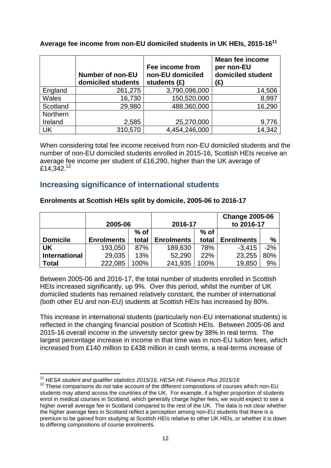|              | <b>Number of non-EU</b><br>domiciled students | Fee income from<br>non-EU domiciled<br>students (£) | <b>Mean fee income</b><br>per non-EU<br>domiciled student<br>(£) |
|--------------|-----------------------------------------------|-----------------------------------------------------|------------------------------------------------------------------|
| England      | 261,275                                       | 3,790,096,000                                       | 14,506                                                           |
| <b>Wales</b> | 16,730                                        | 150,520,000                                         | 8,997                                                            |
| Scotland     | 29,980                                        | 488,360,000                                         | 16,290                                                           |
| Northern     |                                               |                                                     |                                                                  |
| Ireland      | 2,585                                         | 25,270,000                                          | 9,776                                                            |
| UK           | 310,570                                       | 4,454,246,000                                       | 14,342                                                           |

**Average fee income from non-EU domiciled students in UK HEIs, 2015-16<sup>11</sup>**

When considering total fee income received from non-EU domiciled students and the number of non-EU domiciled students enrolled in 2015-16, Scottish HEIs receive an average fee income per student of £16,290, higher than the UK average of  $f14,342^{12}$ 

## **Increasing significance of international students**

#### **Enrolments at Scottish HEIs split by domicile, 2005-06 to 2016-17**

|                      | 2005-06           |        | 2016-17           |        | <b>Change 2005-06</b><br>to 2016-17 |       |
|----------------------|-------------------|--------|-------------------|--------|-------------------------------------|-------|
|                      |                   | $%$ of |                   | $%$ of |                                     |       |
| <b>Domicile</b>      | <b>Enrolments</b> | total  | <b>Enrolments</b> | total  | <b>Enrolments</b>                   | %     |
| UK                   | 193,050           | 87%    | 189,630           | 78%    | $-3,415$                            | $-2%$ |
| <b>International</b> | 29,035            | 13%    | 52,290            | 22%    | 23,255                              | 80%   |
| <b>Total</b>         | 222,085           | 100%   | 241,935           | 100%   | 19,850                              | 9%    |

Between 2005-06 and 2016-17, the total number of students enrolled in Scottish HEIs increased significantly, up 9%. Over this period, whilst the number of UK domiciled students has remained relatively constant, the number of international (both other EU and non-EU) students at Scottish HEIs has increased by 80%.

This increase in international students (particularly non-EU international students) is reflected in the changing financial position of Scottish HEIs. Between 2005-06 and 2015-16 overall income in the university sector grew by 38% in real terms. The largest percentage increase in income in that time was in non-EU tuition fees, which increased from £140 million to £438 million in cash terms, a real-terms increase of

**<sup>.</sup>** <sup>11</sup> *HESA student and qualifier statistics 2015/16, HESA HE Finance Plus 2015/16*

 $12$  These comparisons do not take account of the different compositions of courses which non-EU students may attend across the countries of the UK. For example, if a higher proportion of students enrol in medical courses in Scotland, which generally charge higher fees, we would expect to see a higher overall average fee in Scotland compared to the rest of the UK. The data is not clear whether the higher average fees in Scotland reflect a perception among non-EU students that there is a premium to be gained from studying at Scottish HEIs relative to other UK HEIs, or whether it is down to differing compositions of course enrolments.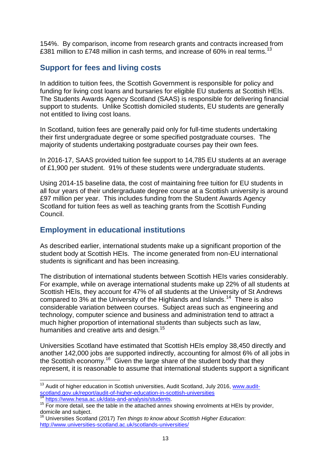154%. By comparison, income from research grants and contracts increased from £381 million to £748 million in cash terms, and increase of 60% in real terms.<sup>13</sup>

## **Support for fees and living costs**

In addition to tuition fees, the Scottish Government is responsible for policy and funding for living cost loans and bursaries for eligible EU students at Scottish HEIs. The Students Awards Agency Scotland (SAAS) is responsible for delivering financial support to students. Unlike Scottish domiciled students, EU students are generally not entitled to living cost loans.

In Scotland, tuition fees are generally paid only for full-time students undertaking their first undergraduate degree or some specified postgraduate courses. The majority of students undertaking postgraduate courses pay their own fees.

In 2016-17, SAAS provided tuition fee support to 14,785 EU students at an average of £1,900 per student. 91% of these students were undergraduate students.

Using 2014-15 baseline data, the cost of maintaining free tuition for EU students in all four years of their undergraduate degree course at a Scottish university is around £97 million per year. This includes funding from the Student Awards Agency Scotland for tuition fees as well as teaching grants from the Scottish Funding Council.

## **Employment in educational institutions**

As described earlier, international students make up a significant proportion of the student body at Scottish HEIs. The income generated from non-EU international students is significant and has been increasing.

The distribution of international students between Scottish HEIs varies considerably. For example, while on average international students make up 22% of all students at Scottish HEIs, they account for 47% of all students at the University of St Andrews compared to 3% at the University of the Highlands and Islands.<sup>14</sup> There is also considerable variation between courses. Subject areas such as engineering and technology, computer science and business and administration tend to attract a much higher proportion of international students than subjects such as law, humanities and creative arts and design.<sup>15</sup>

Universities Scotland have estimated that Scottish HEIs employ 38,450 directly and another 142,000 jobs are supported indirectly, accounting for almost 6% of all jobs in the Scottish economy.<sup>16</sup> Given the large share of the student body that they represent, it is reasonable to assume that international students support a significant

**<sup>.</sup>** <sup>13</sup> Audit of higher education in Scottish universities, Audit Scotland, July 2016, [www.audit](http://www.audit-scotland.gov.uk/report/audit-of-higher-education-in-scottish-universities)[scotland.gov.uk/report/audit-of-higher-education-in-scottish-universities](http://www.audit-scotland.gov.uk/report/audit-of-higher-education-in-scottish-universities)

[https://www.hesa.ac.uk/data-and-analysis/students.](https://www.hesa.ac.uk/data-and-analysis/students)

<sup>&</sup>lt;sup>15</sup> For more detail, see the table in the attached annex showing enrolments at HEIs by provider, domicile and subject.

<sup>16</sup> Universities Scotland (2017) *Ten things to know about Scottish Higher Education*: <http://www.universities-scotland.ac.uk/scotlands-universities/>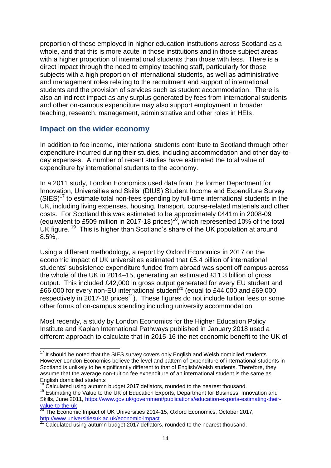proportion of those employed in higher education institutions across Scotland as a whole, and that this is more acute in those institutions and in those subject areas with a higher proportion of international students than those with less. There is a direct impact through the need to employ teaching staff, particularly for those subjects with a high proportion of international students, as well as administrative and management roles relating to the recruitment and support of international students and the provision of services such as student accommodation. There is also an indirect impact as any surplus generated by fees from international students and other on-campus expenditure may also support employment in broader teaching, research, management, administrative and other roles in HEIs.

### **Impact on the wider economy**

 $\overline{\phantom{a}}$ 

In addition to fee income, international students contribute to Scotland through other expenditure incurred during their studies, including accommodation and other day-today expenses. A number of recent studies have estimated the total value of expenditure by international students to the economy.

In a 2011 study, London Economics used data from the former Department for Innovation, Universities and Skills' (DIUS) Student Income and Expenditure Survey  $(SIES)^{17}$  to estimate total non-fees spending by full-time international students in the UK, including living expenses, housing, transport, course-related materials and other costs. For Scotland this was estimated to be approximately £441m in 2008-09 (equivalent to £509 million in 2017-18 prices)<sup>18</sup>, which represented 10% of the total UK figure.<sup>19</sup> This is higher than Scotland's share of the UK population at around 8.5%,.

Using a different methodology, a report by Oxford Economics in 2017 on the economic impact of UK universities estimated that £5.4 billion of international students' subsistence expenditure funded from abroad was spent off campus across the whole of the UK in 2014–15, generating an estimated £11.3 billion of gross output. This included £42,000 in gross output generated for every EU student and  $266,000$  for every non-EU international student<sup>20</sup> (equal to £44,000 and £69,000 respectively in 2017-18 prices<sup>21</sup>). These figures do not include tuition fees or some other forms of on-campus spending including university accommodation.

Most recently, a study by London Economics for the Higher Education Policy Institute and Kaplan International Pathways published in January 2018 used a different approach to calculate that in 2015-16 the net economic benefit to the UK of

 $17$  It should be noted that the SIES survey covers only English and Welsh domiciled students. However London Economics believe the level and pattern of expenditure of international students in Scotland is unlikely to be significantly different to that of English/Welsh students. Therefore, they assume that the average non-tuition fee expenditure of an international student is the same as English domiciled students

<sup>18</sup> Calculated using autumn budget 2017 deflators, rounded to the nearest thousand.

<sup>&</sup>lt;sup>19</sup> Estimating the Value to the UK of Education Exports, Department for Business, Innovation and Skills, June 2011, [https://www.gov.uk/government/publications/education-exports-estimating-their](https://www.gov.uk/government/publications/education-exports-estimating-their-value-to-the-uk)[value-to-the-uk](https://www.gov.uk/government/publications/education-exports-estimating-their-value-to-the-uk)

 $^{20}$  The Economic Impact of UK Universities 2014-15, Oxford Economics, October 2017, <http://www.universitiesuk.ac.uk/economic-impact>

 $21$  Calculated using autumn budget 2017 deflators, rounded to the nearest thousand.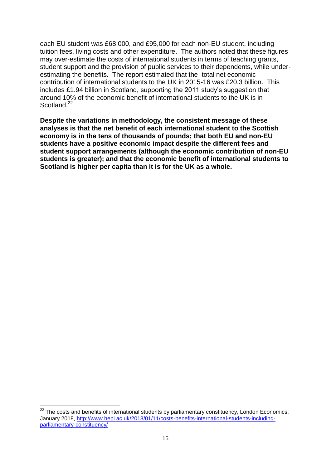each EU student was £68,000, and £95,000 for each non-EU student, including tuition fees, living costs and other expenditure. The authors noted that these figures may over-estimate the costs of international students in terms of teaching grants, student support and the provision of public services to their dependents, while underestimating the benefits. The report estimated that the total net economic contribution of international students to the UK in 2015-16 was £20.3 billion. This includes £1.94 billion in Scotland, supporting the 2011 study's suggestion that around 10% of the economic benefit of international students to the UK is in Scotland.<sup>22</sup>

**Despite the variations in methodology, the consistent message of these analyses is that the net benefit of each international student to the Scottish economy is in the tens of thousands of pounds; that both EU and non-EU students have a positive economic impact despite the different fees and student support arrangements (although the economic contribution of non-EU students is greater); and that the economic benefit of international students to Scotland is higher per capita than it is for the UK as a whole.**

 $\overline{\phantom{a}}$  $^{22}$  The costs and benefits of international students by parliamentary constituency, London Economics, January 2018, [http://www.hepi.ac.uk/2018/01/11/costs-benefits-international-students-including](http://www.hepi.ac.uk/2018/01/11/costs-benefits-international-students-including-parliamentary-constituency/)[parliamentary-constituency/](http://www.hepi.ac.uk/2018/01/11/costs-benefits-international-students-including-parliamentary-constituency/)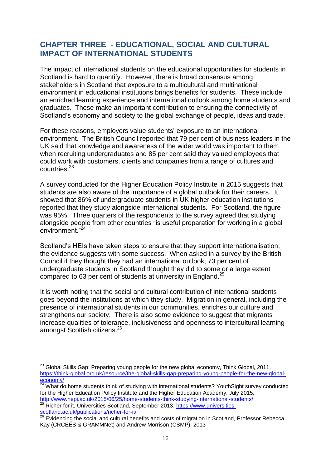## **CHAPTER THREE - EDUCATIONAL, SOCIAL AND CULTURAL IMPACT OF INTERNATIONAL STUDENTS**

The impact of international students on the educational opportunities for students in Scotland is hard to quantify. However, there is broad consensus among stakeholders in Scotland that exposure to a multicultural and multinational environment in educational institutions brings benefits for students. These include an enriched learning experience and international outlook among home students and graduates. These make an important contribution to ensuring the connectivity of Scotland's economy and society to the global exchange of people, ideas and trade.

For these reasons, employers value students' exposure to an international environment. The British Council reported that 79 per cent of business leaders in the UK said that knowledge and awareness of the wider world was important to them when recruiting undergraduates and 85 per cent said they valued employees that could work with customers, clients and companies from a range of cultures and countries.<sup>23</sup>

A survey conducted for the Higher Education Policy Institute in 2015 suggests that students are also aware of the importance of a global outlook for their careers. It showed that 86% of undergraduate students in UK higher education institutions reported that they study alongside international students. For Scotland, the figure was 95%. Three quarters of the respondents to the survey agreed that studying alongside people from other countries "is useful preparation for working in a global environment."<sup>24</sup>

Scotland's HEIs have taken steps to ensure that they support internationalisation; the evidence suggests with some success. When asked in a survey by the British Council if they thought they had an international outlook, 73 per cent of undergraduate students in Scotland thought they did to some or a large extent compared to 63 per cent of students at university in England.<sup>25</sup>

It is worth noting that the social and cultural contribution of international students goes beyond the institutions at which they study. Migration in general, including the presence of international students in our communities, enriches our culture and strengthens our society. There is also some evidence to suggest that migrants increase qualities of tolerance, inclusiveness and openness to intercultural learning amongst Scottish citizens.<sup>26</sup>

**<sup>.</sup>**  $^{23}$  Global Skills Gap: Preparing young people for the new global economy, Think Global, 2011, [https://think-global.org.uk/resource/the-global-skills-gap-preparing-young-people-for-the-new-global-](https://think-global.org.uk/resource/the-global-skills-gap-preparing-young-people-for-the-new-global-economy/) $\frac{e**conomy/**}{24}$ 

 $\overline{a}$  What do home students think of studying with international students? YouthSight survey conducted for the Higher Education Policy Institute and the Higher Education Academy, July 2015,

<http://www.hepi.ac.uk/2015/06/25/home-students-think-studying-international-students/> <sup>25</sup> Richer for it, Universities Scotland, September 2013, [https://www.universities](https://www.universities-scotland.ac.uk/publications/richer-for-it/)[scotland.ac.uk/publications/richer-for-it/](https://www.universities-scotland.ac.uk/publications/richer-for-it/)

<sup>26</sup> Evidencing the social and cultural benefits and costs of migration in Scotland, Professor Rebecca Kay (CRCEES & GRAMMNet) and Andrew Morrison (CSMP), 2013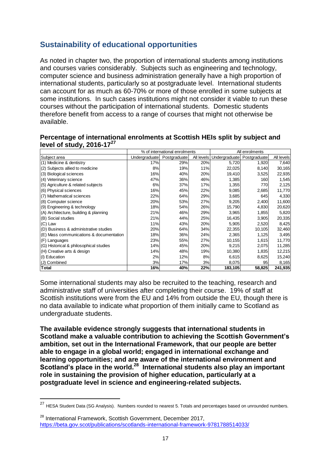## **Sustainability of educational opportunities**

As noted in chapter two, the proportion of international students among institutions and courses varies considerably. Subjects such as engineering and technology, computer science and business administration generally have a high proportion of international students, particularly so at postgraduate level. International students can account for as much as 60-70% or more of those enrolled in some subjects at some institutions. In such cases institutions might not consider it viable to run these courses without the participation of international students. Domestic students therefore benefit from access to a range of courses that might not otherwise be available.

|                                         | % of international enrolments |              |     | All enrolments             |              |            |
|-----------------------------------------|-------------------------------|--------------|-----|----------------------------|--------------|------------|
| Subject area                            | Undergraduate                 | Postgraduate |     | All levels   Undergraduate | Postgraduate | All levels |
| (1) Medicine & dentistry                | 17%                           | 29%          | 20% | 5,720                      | 1,920        | 7,640      |
| (2) Subjects allied to medicine         | 8%                            | 19%          | 11% | 22,025                     | 8,140        | 30,165     |
| (3) Biological sciences                 | 16%                           | 40%          | 20% | 19,410                     | 3,525        | 22,935     |
| (4) Veterinary science                  | 47%                           | 36%          | 46% | 1,385                      | 160          | 1,545      |
| (5) Agriculture & related subjects      | 6%                            | 37%          | 17% | 1,355                      | 770          | 2,125      |
| (6) Physical sciences                   | 16%                           | 45%          | 22% | 9,085                      | 2,685        | 11,770     |
| (7) Mathematical sciences               | 22%                           | 64%          | 29% | 3,685                      | 645          | 4,330      |
| (8) Computer science                    | 20%                           | 53%          | 27% | 9,205                      | 2,400        | 11,600     |
| (9) Engineering & technology            | 18%                           | 54%          | 26% | 15,790                     | 4,830        | 20,620     |
| (A) Architecture, building & planning   | 21%                           | 46%          | 29% | 3,965                      | 1,855        | 5,820      |
| (B) Social studies                      | 21%                           | 44%          | 25% | 16,435                     | 3,905        | 20,335     |
| (C) Law                                 | 11%                           | 43%          | 20% | 5,905                      | 2,520        | 8,425      |
| (D) Business & administrative studies   | 20%                           | 64%          | 34% | 22,355                     | 10,105       | 32,460     |
| (E) Mass communications & documentation | 18%                           | 36%          | 24% | 2,365                      | 1,125        | 3,495      |
| (F) Languages                           | 23%                           | 55%          | 27% | 10,155                     | 1,615        | 11,770     |
| (G) Historical & philosophical studies  | 14%                           | 45%          | 20% | 9,215                      | 2,075        | 11,285     |
| (H) Creative arts & design              | 14%                           | 48%          | 19% | 10,380                     | 1,835        | 12,215     |
| (I) Education                           | 2%                            | 12%          | 8%  | 6,615                      | 8,625        | 15,240     |
| (J) Combined                            | 3%                            | 17%          | 3%  | 8,075                      | 95           | 8,165      |
| <b>Total</b>                            | 16%                           | 40%          | 22% | 183,105                    | 58,825       | 241,935    |

#### **Percentage of international enrolments at Scottish HEIs split by subject and level of study, 2016-17<sup>27</sup>**

Some international students may also be recruited to the teaching, research and administrative staff of universities after completing their course. 19% of staff at Scottish institutions were from the EU and 14% from outside the EU, though there is no data available to indicate what proportion of them initially came to Scotland as undergraduate students.

**The available evidence strongly suggests that international students in Scotland make a valuable contribution to achieving the Scottish Government's ambition, set out in the International Framework, that our people are better able to engage in a global world; engaged in international exchange and learning opportunities; and are aware of the international environment and Scotland's place in the world.<sup>28</sup> International students also play an important role in sustaining the provision of higher education, particularly at a postgraduate level in science and engineering-related subjects.**

**.** 

<sup>&</sup>lt;sup>27</sup> HESA Student Data (SG Analysis). Numbers rounded to nearest 5. Totals and percentages based on unrounded numbers.

<sup>&</sup>lt;sup>28</sup> International Framework, Scottish Government, December 2017, <https://beta.gov.scot/publications/scotlands-international-framework-9781788514033/>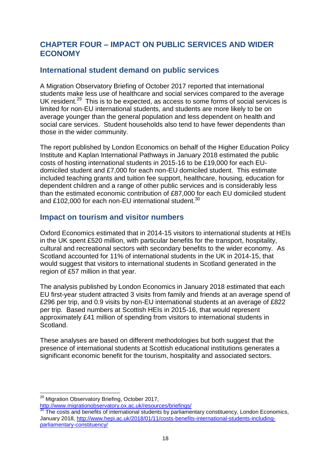## **CHAPTER FOUR – IMPACT ON PUBLIC SERVICES AND WIDER ECONOMY**

## **International student demand on public services**

A Migration Observatory Briefing of October 2017 reported that international students make less use of healthcare and social services compared to the average UK resident.<sup>29</sup> This is to be expected, as access to some forms of social services is limited for non-EU international students, and students are more likely to be on average younger than the general population and less dependent on health and social care services. Student households also tend to have fewer dependents than those in the wider community.

The report published by London Economics on behalf of the Higher Education Policy Institute and Kaplan International Pathways in January 2018 estimated the public costs of hosting international students in 2015-16 to be £19,000 for each EUdomiciled student and £7,000 for each non-EU domiciled student. This estimate included teaching grants and tuition fee support, healthcare, housing, education for dependent children and a range of other public services and is considerably less than the estimated economic contribution of £87,000 for each EU domiciled student and £102,000 for each non-EU international student.<sup>30</sup>

## **Impact on tourism and visitor numbers**

Oxford Economics estimated that in 2014-15 visitors to international students at HEIs in the UK spent £520 million, with particular benefits for the transport, hospitality, cultural and recreational sectors with secondary benefits to the wider economy. As Scotland accounted for 11% of international students in the UK in 2014-15, that would suggest that visitors to international students in Scotland generated in the region of £57 million in that year.

The analysis published by London Economics in January 2018 estimated that each EU first-year student attracted 3 visits from family and friends at an average spend of £296 per trip, and 0.9 visits by non-EU international students at an average of £822 per trip. Based numbers at Scottish HEIs in 2015-16, that would represent approximately £41 million of spending from visitors to international students in Scotland.

These analyses are based on different methodologies but both suggest that the presence of international students at Scottish educational institutions generates a significant economic benefit for the tourism, hospitality and associated sectors.

**.** 

<sup>&</sup>lt;sup>29</sup> Migration Observatory Briefing, October 2017,

<http://www.migrationobservatory.ox.ac.uk/resources/briefings/>

<sup>&</sup>lt;sup>30</sup> The costs and benefits of international students by parliamentary constituency, London Economics, January 2018, [http://www.hepi.ac.uk/2018/01/11/costs-benefits-international-students-including](http://www.hepi.ac.uk/2018/01/11/costs-benefits-international-students-including-parliamentary-constituency/)[parliamentary-constituency/](http://www.hepi.ac.uk/2018/01/11/costs-benefits-international-students-including-parliamentary-constituency/)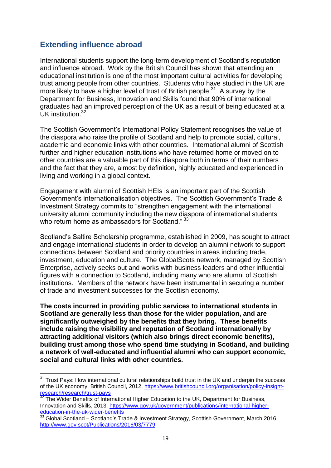## **Extending influence abroad**

**.** 

International students support the long-term development of Scotland's reputation and influence abroad. Work by the British Council has shown that attending an educational institution is one of the most important cultural activities for developing trust among people from other countries. Students who have studied in the UK are more likely to have a higher level of trust of British people.<sup>31</sup> A survey by the Department for Business, Innovation and Skills found that 90% of international graduates had an improved perception of the UK as a result of being educated at a UK institution.<sup>32</sup>

The Scottish Government's International Policy Statement recognises the value of the diaspora who raise the profile of Scotland and help to promote social, cultural, academic and economic links with other countries. International alumni of Scottish further and higher education institutions who have returned home or moved on to other countries are a valuable part of this diaspora both in terms of their numbers and the fact that they are, almost by definition, highly educated and experienced in living and working in a global context.

Engagement with alumni of Scottish HEIs is an important part of the Scottish Government's internationalisation objectives. The Scottish Government's Trade & Investment Strategy commits to "strengthen engagement with the international university alumni community including the new diaspora of international students who return home as ambassadors for Scotland." 33

Scotland's Saltire Scholarship programme, established in 2009, has sought to attract and engage international students in order to develop an alumni network to support connections between Scotland and priority countries in areas including trade, investment, education and culture. The GlobalScots network, managed by Scottish Enterprise, actively seeks out and works with business leaders and other influential figures with a connection to Scotland, including many who are alumni of Scottish institutions. Members of the network have been instrumental in securing a number of trade and investment successes for the Scottish economy.

**The costs incurred in providing public services to international students in Scotland are generally less than those for the wider population, and are significantly outweighed by the benefits that they bring. These benefits include raising the visibility and reputation of Scotland internationally by attracting additional visitors (which also brings direct economic benefits), building trust among those who spend time studying in Scotland, and building a network of well-educated and influential alumni who can support economic, social and cultural links with other countries.**

<sup>&</sup>lt;sup>31</sup> Trust Pays: How international cultural relationships build trust in the UK and underpin the success of the UK economy, British Council, 2012, [https://www.britishcouncil.org/organisation/policy-insight](https://www.britishcouncil.org/organisation/policy-insight-research/research/trust-pays)[research/research/trust-pays](https://www.britishcouncil.org/organisation/policy-insight-research/research/trust-pays)

<sup>&</sup>lt;sup>32</sup> The Wider Benefits of International Higher Education to the UK, Department for Business, Innovation and Skills, 2013, [https://www.gov.uk/government/publications/international-higher](https://www.gov.uk/government/publications/international-higher-education-in-the-uk-wider-benefits)[education-in-the-uk-wider-benefits](https://www.gov.uk/government/publications/international-higher-education-in-the-uk-wider-benefits)

**Butcanon-in-the ant water Scribing**<br><sup>33</sup> Global Scotland – Scotland's Trade & Investment Strategy, Scottish Government, March 2016, <http://www.gov.scot/Publications/2016/03/7779>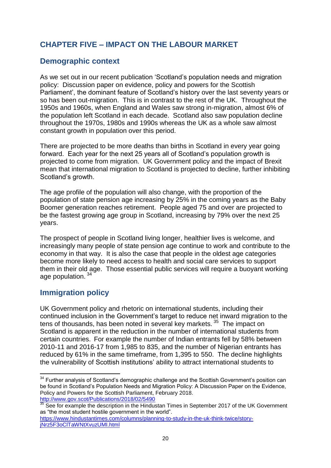## **CHAPTER FIVE – IMPACT ON THE LABOUR MARKET**

## **Demographic context**

As we set out in our recent publication 'Scotland's population needs and migration policy: Discussion paper on evidence, policy and powers for the Scottish Parliament', the dominant feature of Scotland's history over the last seventy years or so has been out-migration. This is in contrast to the rest of the UK. Throughout the 1950s and 1960s, when England and Wales saw strong in-migration, almost 6% of the population left Scotland in each decade. Scotland also saw population decline throughout the 1970s, 1980s and 1990s whereas the UK as a whole saw almost constant growth in population over this period.

There are projected to be more deaths than births in Scotland in every year going forward. Each year for the next 25 years all of Scotland's population growth is projected to come from migration. UK Government policy and the impact of Brexit mean that international migration to Scotland is projected to decline, further inhibiting Scotland's growth.

The age profile of the population will also change, with the proportion of the population of state pension age increasing by 25% in the coming years as the Baby Boomer generation reaches retirement. People aged 75 and over are projected to be the fastest growing age group in Scotland, increasing by 79% over the next 25 years.

The prospect of people in Scotland living longer, healthier lives is welcome, and increasingly many people of state pension age continue to work and contribute to the economy in that way. It is also the case that people in the oldest age categories become more likely to need access to health and social care services to support them in their old age. Those essential public services will require a buoyant working age population.<sup>34</sup>

## **Immigration policy**

**.** 

UK Government policy and rhetoric on international students, including their continued inclusion in the Government's target to reduce net inward migration to the tens of thousands, has been noted in several key markets. <sup>35</sup> The impact on Scotland is apparent in the reduction in the number of international students from certain countries. For example the number of Indian entrants fell by 58% between 2010-11 and 2016-17 from 1,985 to 835, and the number of Nigerian entrants has reduced by 61% in the same timeframe, from 1,395 to 550. The decline highlights the vulnerability of Scottish institutions' ability to attract international students to

 $34$  Further analysis of Scotland's demographic challenge and the Scottish Government's position can be found in Scotland's Population Needs and Migration Policy: A Discussion Paper on the Evidence, Policy and Powers for the Scottish Parliament, February 2018. <http://www.gov.scot/Publications/2018/02/5490>

 $35$  See for example the description in the Hindustan Times in September 2017 of the UK Government as "the most student hostile government in the world".

[https://www.hindustantimes.com/columns/planning-to-study-in-the-uk-think-twice/story](https://www.hindustantimes.com/columns/planning-to-study-in-the-uk-think-twice/story-jNrz5F3oClTaWNtXvuzUMI.html)[jNrz5F3oClTaWNtXvuzUMI.html](https://www.hindustantimes.com/columns/planning-to-study-in-the-uk-think-twice/story-jNrz5F3oClTaWNtXvuzUMI.html)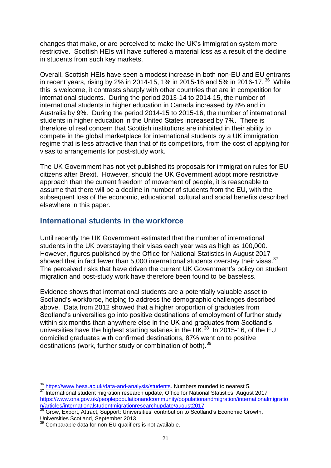changes that make, or are perceived to make the UK's immigration system more restrictive. Scottish HEIs will have suffered a material loss as a result of the decline in students from such key markets.

Overall, Scottish HEIs have seen a modest increase in both non-EU and EU entrants in recent years, rising by 2% in 2014-15, 1% in 2015-16 and 5% in 2016-17.  $36$  While this is welcome, it contrasts sharply with other countries that are in competition for international students. During the period 2013-14 to 2014-15, the number of international students in higher education in Canada increased by 8% and in Australia by 9%. During the period 2014-15 to 2015-16, the number of international students in higher education in the United States increased by 7%. There is therefore of real concern that Scottish institutions are inhibited in their ability to compete in the global marketplace for international students by a UK immigration regime that is less attractive than that of its competitors, from the cost of applying for visas to arrangements for post-study work.

The UK Government has not yet published its proposals for immigration rules for EU citizens after Brexit. However, should the UK Government adopt more restrictive approach than the current freedom of movement of people, it is reasonable to assume that there will be a decline in number of students from the EU, with the subsequent loss of the economic, educational, cultural and social benefits described elsewhere in this paper.

## **International students in the workforce**

Until recently the UK Government estimated that the number of international students in the UK overstaying their visas each year was as high as 100,000. However, figures published by the Office for National Statistics in August 2017 showed that in fact fewer than 5,000 international students overstay their visas.  $37$ The perceived risks that have driven the current UK Government's policy on student migration and post-study work have therefore been found to be baseless.

Evidence shows that international students are a potentially valuable asset to Scotland's workforce, helping to address the demographic challenges described above. Data from 2012 showed that a higher proportion of graduates from Scotland's universities go into positive destinations of employment of further study within six months than anywhere else in the UK and graduates from Scotland's universities have the highest starting salaries in the UK. $^{38}$  In 2015-16, of the EU domiciled graduates with confirmed destinations, 87% went on to positive destinations (work, further study or combination of both).<sup>39</sup>

**<sup>.</sup>** <sup>36</sup> [https://www.hesa.ac.uk/data-and-analysis/students.](https://www.hesa.ac.uk/data-and-analysis/students) Numbers rounded to nearest 5.

<sup>&</sup>lt;sup>37</sup> International student migration research update, Office for National Statistics, August 2017 [https://www.ons.gov.uk/peoplepopulationandcommunity/populationandmigration/internationalmigratio](https://www.ons.gov.uk/peoplepopulationandcommunity/populationandmigration/internationalmigration/articles/internationalstudentmigrationresearchupdate/august2017) [n/articles/internationalstudentmigrationresearchupdate/august2017](https://www.ons.gov.uk/peoplepopulationandcommunity/populationandmigration/internationalmigration/articles/internationalstudentmigrationresearchupdate/august2017)

**<sup>38</sup> Grow, Export, Attract, Support: Universities' contribution to Scotland's Economic Growth,** Universities Scotland, September 2013.

 $\beta$  Comparable data for non-EU qualifiers is not available.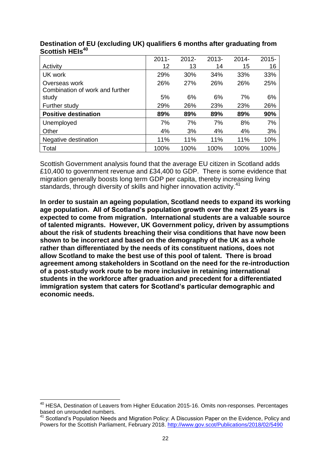|                                 | $2011 -$ | $2012 -$ | $2013 -$ | $2014 -$ | $2015 -$ |
|---------------------------------|----------|----------|----------|----------|----------|
| Activity                        | 12       | 13       | 14       | 15       | 16       |
| UK work                         | 29%      | 30%      | 34%      | 33%      | 33%      |
| Overseas work                   | 26%      | 27%      | 26%      | 26%      | 25%      |
| Combination of work and further |          |          |          |          |          |
| study                           | 5%       | 6%       | 6%       | 7%       | 6%       |
| Further study                   | 29%      | 26%      | 23%      | 23%      | 26%      |
| <b>Positive destination</b>     | 89%      | 89%      | 89%      | 89%      | 90%      |
| Unemployed                      | 7%       | 7%       | 7%       | 8%       | 7%       |
| Other                           | 4%       | 3%       | 4%       | 4%       | 3%       |
| Negative destination            | 11%      | 11%      | 11%      | 11%      | 10%      |
| Total                           | 100%     | 100%     | 100%     | 100%     | 100%     |

#### **Destination of EU (excluding UK) qualifiers 6 months after graduating from Scottish HEIs<sup>40</sup>**

Scottish Government analysis found that the average EU citizen in Scotland adds £10,400 to government revenue and £34,400 to GDP. There is some evidence that migration generally boosts long term GDP per capita, thereby increasing living standards, through diversity of skills and higher innovation activity.<sup>41</sup>

**In order to sustain an ageing population, Scotland needs to expand its working age population. All of Scotland's population growth over the next 25 years is expected to come from migration. International students are a valuable source of talented migrants. However, UK Government policy, driven by assumptions about the risk of students breaching their visa conditions that have now been shown to be incorrect and based on the demography of the UK as a whole rather than differentiated by the needs of its constituent nations, does not allow Scotland to make the best use of this pool of talent. There is broad agreement among stakeholders in Scotland on the need for the re-introduction of a post-study work route to be more inclusive in retaining international students in the workforce after graduation and precedent for a differentiated immigration system that caters for Scotland's particular demographic and economic needs.**

**<sup>.</sup>** <sup>40</sup> HESA, Destination of Leavers from Higher Education 2015-16. Omits non-responses. Percentages based on unrounded numbers.

 $41$  Scotland's Population Needs and Migration Policy: A Discussion Paper on the Evidence, Policy and Powers for the Scottish Parliament, February 2018.<http://www.gov.scot/Publications/2018/02/5490>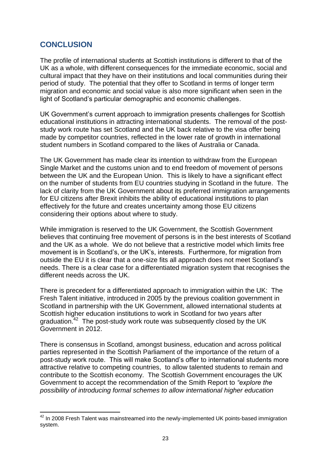## **CONCLUSION**

The profile of international students at Scottish institutions is different to that of the UK as a whole, with different consequences for the immediate economic, social and cultural impact that they have on their institutions and local communities during their period of study. The potential that they offer to Scotland in terms of longer term migration and economic and social value is also more significant when seen in the light of Scotland's particular demographic and economic challenges.

UK Government's current approach to immigration presents challenges for Scottish educational institutions in attracting international students. The removal of the poststudy work route has set Scotland and the UK back relative to the visa offer being made by competitor countries, reflected in the lower rate of growth in international student numbers in Scotland compared to the likes of Australia or Canada.

The UK Government has made clear its intention to withdraw from the European Single Market and the customs union and to end freedom of movement of persons between the UK and the European Union. This is likely to have a significant effect on the number of students from EU countries studying in Scotland in the future. The lack of clarity from the UK Government about its preferred immigration arrangements for EU citizens after Brexit inhibits the ability of educational institutions to plan effectively for the future and creates uncertainty among those EU citizens considering their options about where to study.

While immigration is reserved to the UK Government, the Scottish Government believes that continuing free movement of persons is in the best interests of Scotland and the UK as a whole. We do not believe that a restrictive model which limits free movement is in Scotland's, or the UK's, interests. Furthermore, for migration from outside the EU it is clear that a one-size fits all approach does not meet Scotland's needs. There is a clear case for a differentiated migration system that recognises the different needs across the UK.

There is precedent for a differentiated approach to immigration within the UK: The Fresh Talent initiative, introduced in 2005 by the previous coalition government in Scotland in partnership with the UK Government, allowed international students at Scottish higher education institutions to work in Scotland for two years after graduation.<sup>42</sup> The post-study work route was subsequently closed by the UK Government in 2012.

There is consensus in Scotland, amongst business, education and across political parties represented in the Scottish Parliament of the importance of the return of a post-study work route. This will make Scotland's offer to international students more attractive relative to competing countries, to allow talented students to remain and contribute to the Scottish economy. The Scottish Government encourages the UK Government to accept the recommendation of the Smith Report to *"explore the possibility of introducing formal schemes to allow international higher education* 

**<sup>.</sup>**  $42$  In 2008 Fresh Talent was mainstreamed into the newly-implemented UK points-based immigration system.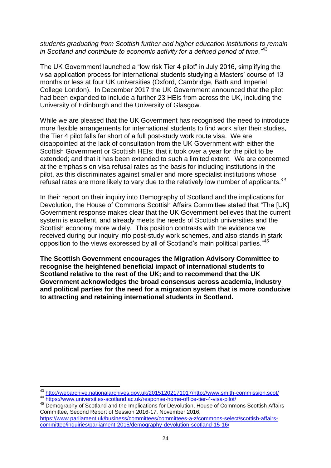#### *students graduating from Scottish further and higher education institutions to remain in Scotland and contribute to economic activity for a defined period of time."*<sup>43</sup>

The UK Government launched a "low risk Tier 4 pilot" in July 2016, simplifying the visa application process for international students studying a Masters' course of 13 months or less at four UK universities (Oxford, Cambridge, Bath and Imperial College London). In December 2017 the UK Government announced that the pilot had been expanded to include a further 23 HEIs from across the UK, including the University of Edinburgh and the University of Glasgow.

While we are pleased that the UK Government has recognised the need to introduce more flexible arrangements for international students to find work after their studies, the Tier 4 pilot falls far short of a full post-study work route visa. We are disappointed at the lack of consultation from the UK Government with either the Scottish Government or Scottish HEIs; that it took over a year for the pilot to be extended; and that it has been extended to such a limited extent. We are concerned at the emphasis on visa refusal rates as the basis for including institutions in the pilot, as this discriminates against smaller and more specialist institutions whose refusal rates are more likely to vary due to the relatively low number of applicants.*<sup>44</sup>*

In their report on their inquiry into Demography of Scotland and the implications for Devolution, the House of Commons Scottish Affairs Committee stated that "The [UK] Government response makes clear that the UK Government believes that the current system is excellent, and already meets the needs of Scottish universities and the Scottish economy more widely. This position contrasts with the evidence we received during our inquiry into post-study work schemes, and also stands in stark opposition to the views expressed by all of Scotland's main political parties."<sup>45</sup>

**The Scottish Government encourages the Migration Advisory Committee to recognise the heightened beneficial impact of international students to Scotland relative to the rest of the UK; and to recommend that the UK Government acknowledges the broad consensus across academia, industry and political parties for the need for a migration system that is more conducive to attracting and retaining international students in Scotland.**

 $\overline{a}$ 

<sup>&</sup>lt;sup>43</sup> [http://webarchive.nationalarchives.gov.uk/20151202171017/http://www.smith-commission.scot/](http://webarchive.nationalarchives.gov.uk/20151202171017/http:/www.smith-commission.scot/)

<sup>44</sup> <https://www.universities-scotland.ac.uk/response-home-office-tier-4-visa-pilot/>

<sup>45</sup> Demography of Scotland and the Implications for Devolution, House of Commons Scottish Affairs Committee, Second Report of Session 2016-17, November 2016,

[https://www.parliament.uk/business/committees/committees-a-z/commons-select/scottish-affairs](https://www.parliament.uk/business/committees/committees-a-z/commons-select/scottish-affairs-committee/inquiries/parliament-2015/demography-devolution-scotland-15-16/)[committee/inquiries/parliament-2015/demography-devolution-scotland-15-16/](https://www.parliament.uk/business/committees/committees-a-z/commons-select/scottish-affairs-committee/inquiries/parliament-2015/demography-devolution-scotland-15-16/)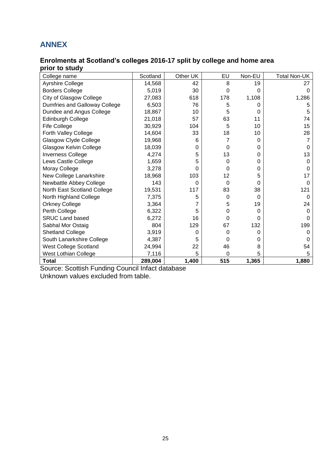## **ANNEX**

#### **Enrolments at Scotland's colleges 2016-17 split by college and home area prior to study**

| College name                  | Scotland | Other UK | EU       | Non-EU   | <b>Total Non-UK</b> |
|-------------------------------|----------|----------|----------|----------|---------------------|
| Ayrshire College              | 14,568   | 42       | 8        | 19       | 27                  |
| <b>Borders College</b>        | 5,019    | 30       | $\Omega$ | O        | 0                   |
| City of Glasgow College       | 27,083   | 618      | 178      | 1,108    | 1,286               |
| Dumfries and Galloway College | 6,503    | 76       | 5        | 0        | 5                   |
| Dundee and Angus College      | 18,867   | 10       | 5        | $\Omega$ | 5                   |
| Edinburgh College             | 21,018   | 57       | 63       | 11       | 74                  |
| <b>Fife College</b>           | 30,929   | 104      | 5        | 10       | 15                  |
| Forth Valley College          | 14,604   | 33       | 18       | 10       | 28                  |
| Glasgow Clyde College         | 19,968   | 6        | 7        | 0        |                     |
| Glasgow Kelvin College        | 18,039   | 0        | $\Omega$ | 0        | O                   |
| <b>Inverness College</b>      | 4,274    | 5        | 13       | 0        | 13                  |
| Lews Castle College           | 1,659    | 5        | 0        | $\Omega$ | O                   |
| Moray College                 | 3,278    | 0        | 0        | 0        | 0                   |
| New College Lanarkshire       | 18,968   | 103      | 12       | 5        | 17                  |
| Newbattle Abbey College       | 143      | $\Omega$ | $\Omega$ | $\Omega$ | 0                   |
| North East Scotland College   | 19,531   | 117      | 83       | 38       | 121                 |
| North Highland College        | 7,375    | 5        | $\Omega$ | $\Omega$ | 0                   |
| <b>Orkney College</b>         | 3,364    |          | 5        | 19       | 24                  |
| Perth College                 | 6,322    | 5        | 0        | 0        | 0                   |
| <b>SRUC Land based</b>        | 6,272    | 16       | $\Omega$ | 0        | O                   |
| Sabhal Mor Ostaig             | 804      | 129      | 67       | 132      | 199                 |
| <b>Shetland College</b>       | 3,919    | 0        | 0        | 0        |                     |
| South Lanarkshire College     | 4,387    | 5        | 0        | 0        | O                   |
| West College Scotland         | 24,994   | 22       | 46       | 8        | 54                  |
| West Lothian College          | 7,116    | 5        | 0        | 5        | 5                   |
| Total                         | 289,004  | 1,400    | 515      | 1,365    | 1,880               |

Source: Scottish Funding Council Infact database

Unknown values excluded from table.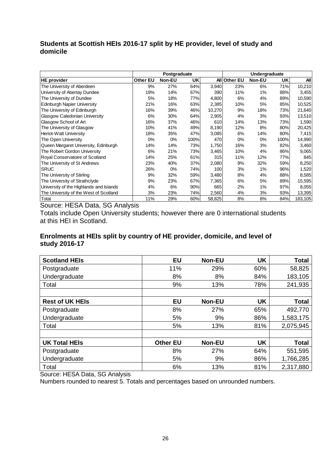#### **Students at Scottish HEIs 2016-17 split by HE provider, level of study and domicile**

|                                         | Postgraduate<br>Undergraduate |        |           |        |              |        |           |         |
|-----------------------------------------|-------------------------------|--------|-----------|--------|--------------|--------|-----------|---------|
| <b>HE</b> provider                      | Other EU                      | Non-EU | <b>UK</b> |        | All Other EU | Non-EU | <b>UK</b> | All     |
| The University of Aberdeen              | 9%                            | 27%    | 64%       | 3,940  | 23%          | 6%     | 71%       | 10,210  |
| University of Abertay Dundee            | 19%                           | 14%    | 67%       | 390    | 11%          | 1%     | 88%       | 3,455   |
| The University of Dundee                | 5%                            | 18%    | 77%       | 4,800  | 6%           | 4%     | 89%       | 10,590  |
| <b>Edinburgh Napier University</b>      | 21%                           | 16%    | 63%       | 2,385  | 10%          | 5%     | 85%       | 10,525  |
| The University of Edinburgh             | 16%                           | 39%    | 46%       | 10,270 | 9%           | 18%    | 73%       | 21,640  |
| Glasgow Caledonian University           | 6%                            | 30%    | 64%       | 2,905  | 4%           | 3%     | 93%       | 13,510  |
| Glasgow School of Art                   | 16%                           | 37%    | 46%       | 610    | 14%          | 13%    | 73%       | 1,590   |
| The University of Glasgow               | 10%                           | 41%    | 49%       | 8,190  | 12%          | 8%     | 80%       | 20,425  |
| Heriot-Watt University                  | 18%                           | 35%    | 47%       | 3,085  | 6%           | 14%    | 80%       | 7,415   |
| The Open University                     | 0%                            | 0%     | 100%      | 470    | 0%           | 0%     | 100%      | 14,990  |
| Queen Margaret University, Edinburgh    | 14%                           | 14%    | 73%       | 1,750  | 16%          | 3%     | 82%       | 3,460   |
| The Robert Gordon University            | 6%                            | 21%    | 73%       | 3,465  | 10%          | 4%     | 86%       | 9,065   |
| Royal Conservatoire of Scotland         | 14%                           | 25%    | 61%       | 315    | 11%          | 12%    | 77%       | 845     |
| The University of St Andrews            | 23%                           | 40%    | 37%       | 2,080  | 9%           | 32%    | 59%       | 8,250   |
| <b>SRUC</b>                             | 26%                           | 0%     | 74%       | 100    | 3%           | 1%     | 96%       | 1,520   |
| The University of Stirling              | 9%                            | 32%    | 59%       | 3,480  | 8%           | 4%     | 88%       | 8,585   |
| The University of Strathclyde           | 9%                            | 23%    | 67%       | 7,365  | 6%           | 5%     | 89%       | 15,595  |
| University of the Highlands and Islands | 4%                            | 6%     | 90%       | 665    | 2%           | 1%     | 97%       | 8,055   |
| The University of the West of Scotland  | 3%                            | 23%    | 74%       | 2,560  | 4%           | 3%     | 93%       | 13,395  |
| Total                                   | 11%                           | 29%    | 60%       | 58,825 | 8%           | 8%     | 84%       | 183,105 |

Source: HESA Data, SG Analysis

Totals include Open University students; however there are 0 international students at this HEI in Scotland.

#### **Enrolments at HEIs split by country of HE provider, domicile, and level of study 2016-17**

| <b>Scotland HEIs</b>   | <b>EU</b>       | <b>Non-EU</b> | <b>UK</b> | <b>Total</b> |
|------------------------|-----------------|---------------|-----------|--------------|
| Postgraduate           | 11%             | 29%           | 60%       | 58,825       |
| Undergraduate          | 8%              | 8%            | 84%       | 183,105      |
| Total                  | 9%              | 13%           | 78%       | 241,935      |
|                        |                 |               |           |              |
| <b>Rest of UK HEIs</b> | <b>EU</b>       | <b>Non-EU</b> | <b>UK</b> | <b>Total</b> |
| Postgraduate           | 8%              | 27%           | 65%       | 492,770      |
| Undergraduate          | 5%              | 9%            | 86%       | 1,583,175    |
| Total                  | 5%              | 13%           | 81%       | 2,075,945    |
|                        |                 |               |           |              |
| <b>UK Total HEIs</b>   | <b>Other EU</b> | <b>Non-EU</b> | <b>UK</b> | <b>Total</b> |
| Postgraduate           | 8%              | 27%           | 64%       | 551,595      |
| Undergraduate          | 5%              | 9%            | 86%       | 1,766,285    |
| Total                  | 6%              | 13%           | 81%       | 2,317,880    |

Source: HESA Data, SG Analysis

Numbers rounded to nearest 5. Totals and percentages based on unrounded numbers.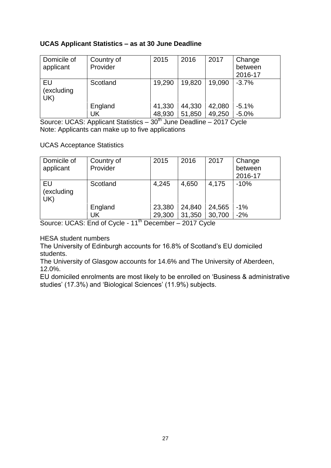#### **UCAS Applicant Statistics – as at 30 June Deadline**

| Domicile of<br>applicant | Country of<br>Provider | 2015   | 2016   | 2017   | Change<br>between<br>2016-17 |
|--------------------------|------------------------|--------|--------|--------|------------------------------|
| EU<br>(excluding<br>UK)  | Scotland               | 19,290 | 19,820 | 19,090 | $-3.7%$                      |
|                          | England                | 41,330 | 44,330 | 42,080 | $-5.1%$                      |
|                          | UK                     | 48,930 | 51,850 | 49,250 | $-5.0%$                      |

Source: UCAS: Applicant Statistics – 30<sup>th</sup> June Deadline – 2017 Cycle Note: Applicants can make up to five applications

UCAS Acceptance Statistics

| Domicile of<br>applicant | Country of<br>Provider | 2015   | 2016   | 2017   | Change<br>between<br>2016-17 |
|--------------------------|------------------------|--------|--------|--------|------------------------------|
| EU<br>(excluding<br>UK)  | Scotland               | 4,245  | 4,650  | 4,175  | $-10%$                       |
|                          | England                | 23,380 | 24,840 | 24,565 | $-1%$                        |
|                          | UK                     | 29,300 | 31,350 | 30,700 | $-2%$                        |

Source: UCAS: End of Cycle - 11<sup>th</sup> December - 2017 Cycle

HESA student numbers

The University of Edinburgh accounts for 16.8% of Scotland's EU domiciled students.

The University of Glasgow accounts for 14.6% and The University of Aberdeen, 12.0%.

EU domiciled enrolments are most likely to be enrolled on 'Business & administrative studies' (17.3%) and 'Biological Sciences' (11.9%) subjects.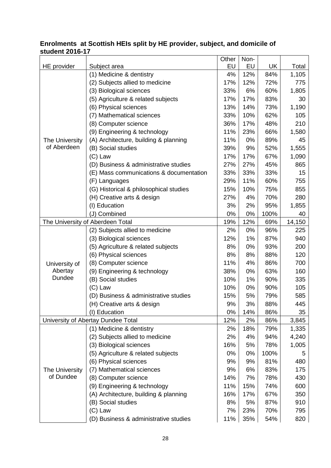#### **Enrolments at Scottish HEIs split by HE provider, subject, and domicile of student 2016-17**

| EU<br>EU<br><b>UK</b><br>HE provider<br>Subject area                        | Total  |
|-----------------------------------------------------------------------------|--------|
| (1) Medicine & dentistry<br>4%<br>12%<br>84%                                | 1,105  |
| (2) Subjects allied to medicine<br>17%<br>12%<br>72%                        | 775    |
| (3) Biological sciences<br>33%<br>6%<br>60%                                 | 1,805  |
| (5) Agriculture & related subjects<br>17%<br>83%<br>17%                     | 30     |
| 13%<br>(6) Physical sciences<br>14%<br>73%                                  | 1,190  |
| 33%<br>62%<br>(7) Mathematical sciences<br>10%                              | 105    |
| 36%<br>(8) Computer science<br>17%<br>48%                                   | 210    |
| 23%<br>(9) Engineering & technology<br>11%<br>66%                           | 1,580  |
| (A) Architecture, building & planning<br>11%<br>0%<br>89%<br>The University | 45     |
| of Aberdeen<br>9%<br>(B) Social studies<br>39%<br>52%                       | 1,555  |
| 17%<br>$(C)$ Law<br>17%<br>67%                                              | 1,090  |
| 27%<br>(D) Business & administrative studies<br>27%<br>45%                  | 865    |
| 33%<br>33%<br>33%<br>(E) Mass communications & documentation                | 15     |
| 29%<br>11%<br>60%<br>(F) Languages                                          | 755    |
| (G) Historical & philosophical studies<br>15%<br>10%<br>75%                 | 855    |
| (H) Creative arts & design<br>27%<br>4%<br>70%                              | 280    |
| (I) Education<br>3%<br>2%<br>95%                                            | 1,855  |
| 0%<br>(J) Combined<br>0%<br>100%                                            | 40     |
| The University of Aberdeen Total<br>19%<br>12%<br>69%                       | 14,150 |
| 2%<br>0%<br>96%<br>(2) Subjects allied to medicine                          | 225    |
| 1%<br>(3) Biological sciences<br>12%<br>87%                                 | 940    |
| (5) Agriculture & related subjects<br>8%<br>0%<br>93%                       | 200    |
| 8%<br>(6) Physical sciences<br>8%<br>88%                                    | 120    |
| (8) Computer science<br>11%<br>4%<br>86%<br>University of                   | 700    |
| Abertay<br>(9) Engineering & technology<br>38%<br>0%<br>63%                 | 160    |
| Dundee<br>(B) Social studies<br>10%<br>1%<br>90%                            | 335    |
| 10%<br>0%<br>90%<br>$(C)$ Law                                               | 105    |
| (D) Business & administrative studies<br>15%<br>5%<br>79%                   | 585    |
| 9%<br>3%<br>88%<br>(H) Creative arts & design                               | 445    |
| 0%<br>(I) Education<br>14%<br>86%                                           | 35     |
| University of Abertay Dundee Total<br>12%<br>2%<br>86%                      | 3,845  |
| (1) Medicine & dentistry<br>2%<br>18%<br>79%                                | 1,335  |
| 2%<br>(2) Subjects allied to medicine<br>4%<br>94%                          | 4,240  |
| (3) Biological sciences<br>16%<br>5%<br>78%                                 | 1,005  |
| (5) Agriculture & related subjects<br>0%<br>100%<br>0%                      | 5      |
| (6) Physical sciences<br>9%<br>9%<br>81%                                    | 480    |
| (7) Mathematical sciences<br>9%<br>The University<br>6%<br>83%              | 175    |
| of Dundee<br>(8) Computer science<br>14%<br>7%<br>78%                       | 430    |
| (9) Engineering & technology<br>11%<br>15%<br>74%                           | 600    |
| (A) Architecture, building & planning<br>16%<br>17%<br>67%                  | 350    |
| (B) Social studies<br>8%<br>5%<br>87%                                       | 910    |
| $(C)$ Law<br>7%<br>23%<br>70%                                               | 795    |
| (D) Business & administrative studies<br>11%<br>35%<br>54%                  | 820    |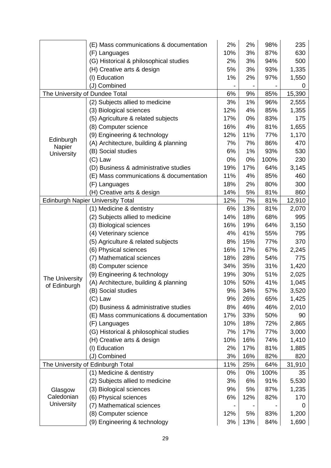|                                | (E) Mass communications & documentation  | 2%  | 2%  | 98%  | 235    |
|--------------------------------|------------------------------------------|-----|-----|------|--------|
|                                | (F) Languages                            | 10% | 3%  | 87%  | 630    |
|                                | (G) Historical & philosophical studies   | 2%  | 3%  | 94%  | 500    |
|                                | (H) Creative arts & design               | 5%  | 3%  | 93%  | 1,335  |
|                                | (I) Education                            | 1%  | 2%  | 97%  | 1,550  |
|                                | (J) Combined                             |     |     |      | 0      |
| The University of Dundee Total |                                          | 6%  | 9%  | 85%  | 15,390 |
|                                | (2) Subjects allied to medicine          | 3%  | 1%  | 96%  | 2,555  |
|                                | (3) Biological sciences                  | 12% | 4%  | 85%  | 1,355  |
|                                | (5) Agriculture & related subjects       | 17% | 0%  | 83%  | 175    |
|                                | (8) Computer science                     | 16% | 4%  | 81%  | 1,655  |
| Edinburgh                      | (9) Engineering & technology             | 12% | 11% | 77%  | 1,170  |
| Napier                         | (A) Architecture, building & planning    | 7%  | 7%  | 86%  | 470    |
| <b>University</b>              | (B) Social studies                       | 6%  | 1%  | 93%  | 530    |
|                                | $(C)$ Law                                | 0%  | 0%  | 100% | 230    |
|                                | (D) Business & administrative studies    | 19% | 17% | 64%  | 3,145  |
|                                | (E) Mass communications & documentation  | 11% | 4%  | 85%  | 460    |
|                                | (F) Languages                            | 18% | 2%  | 80%  | 300    |
|                                | (H) Creative arts & design               | 14% | 5%  | 81%  | 860    |
|                                | <b>Edinburgh Napier University Total</b> | 12% | 7%  | 81%  | 12,910 |
|                                | (1) Medicine & dentistry                 | 6%  | 13% | 81%  | 2,070  |
|                                | (2) Subjects allied to medicine          | 14% | 18% | 68%  | 995    |
|                                | (3) Biological sciences                  | 16% | 19% | 64%  | 3,150  |
|                                | (4) Veterinary science                   | 4%  | 41% | 55%  | 795    |
|                                | (5) Agriculture & related subjects       | 8%  | 15% | 77%  | 370    |
|                                | (6) Physical sciences                    | 16% | 17% | 67%  | 2,245  |
|                                | (7) Mathematical sciences                | 18% | 28% | 54%  | 775    |
|                                | (8) Computer science                     | 34% | 35% | 31%  | 1,420  |
| The University                 | (9) Engineering & technology             | 19% | 30% | 51%  | 2,025  |
| of Edinburgh                   | (A) Architecture, building & planning    | 10% | 50% | 41%  | 1,045  |
|                                | (B) Social studies                       | 9%  | 34% | 57%  | 3,520  |
|                                | $(C)$ Law                                | 9%  | 26% | 65%  | 1,425  |
|                                | (D) Business & administrative studies    | 8%  | 46% | 46%  | 2,010  |
|                                | (E) Mass communications & documentation  | 17% | 33% | 50%  | 90     |
|                                | (F) Languages                            | 10% | 18% | 72%  | 2,865  |
|                                | (G) Historical & philosophical studies   | 7%  | 17% | 77%  | 3,000  |
|                                | (H) Creative arts & design               | 10% | 16% | 74%  | 1,410  |
|                                | (I) Education                            | 2%  | 17% | 81%  | 1,885  |
|                                | (J) Combined                             | 3%  | 16% | 82%  | 820    |
|                                | The University of Edinburgh Total        | 11% | 25% | 64%  | 31,910 |
|                                | (1) Medicine & dentistry                 | 0%  | 0%  | 100% | 35     |
|                                | (2) Subjects allied to medicine          | 3%  | 6%  | 91%  | 5,530  |
| Glasgow                        | (3) Biological sciences                  | 9%  | 5%  | 87%  | 1,235  |
| Caledonian                     | (6) Physical sciences                    | 6%  | 12% | 82%  | 170    |
| University                     | (7) Mathematical sciences                |     |     |      | 0      |
|                                | (8) Computer science                     | 12% | 5%  | 83%  | 1,200  |
|                                | (9) Engineering & technology             | 3%  | 13% | 84%  | 1,690  |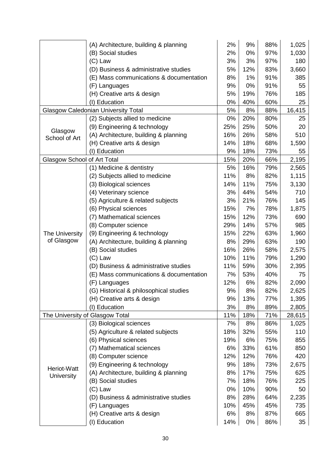|                                    | (A) Architecture, building & planning      | 2%  | 9%  | 88% | 1,025  |
|------------------------------------|--------------------------------------------|-----|-----|-----|--------|
|                                    | (B) Social studies                         | 2%  | 0%  | 97% | 1,030  |
|                                    | $(C)$ Law                                  | 3%  | 3%  | 97% | 180    |
|                                    | (D) Business & administrative studies      | 5%  | 12% | 83% | 3,660  |
|                                    | (E) Mass communications & documentation    | 8%  | 1%  | 91% | 385    |
|                                    | (F) Languages                              | 9%  | 0%  | 91% | 55     |
|                                    | (H) Creative arts & design                 | 5%  | 19% | 76% | 185    |
|                                    | (I) Education                              | 0%  | 40% | 60% | 25     |
|                                    | <b>Glasgow Caledonian University Total</b> | 5%  | 8%  | 88% | 16,415 |
|                                    | (2) Subjects allied to medicine            | 0%  | 20% | 80% | 25     |
| Glasgow                            | (9) Engineering & technology               | 25% | 25% | 50% | 20     |
| School of Art                      | (A) Architecture, building & planning      | 16% | 26% | 58% | 510    |
|                                    | (H) Creative arts & design                 | 14% | 18% | 68% | 1,590  |
|                                    | (I) Education                              | 9%  | 18% | 73% | 55     |
| <b>Glasgow School of Art Total</b> |                                            | 15% | 20% | 66% | 2,195  |
|                                    | (1) Medicine & dentistry                   | 5%  | 16% | 79% | 2,565  |
|                                    | (2) Subjects allied to medicine            | 11% | 8%  | 82% | 1,115  |
|                                    | (3) Biological sciences                    | 14% | 11% | 75% | 3,130  |
|                                    | (4) Veterinary science                     | 3%  | 44% | 54% | 710    |
|                                    | (5) Agriculture & related subjects         | 3%  | 21% | 76% | 145    |
|                                    | (6) Physical sciences                      | 15% | 7%  | 78% | 1,875  |
|                                    | (7) Mathematical sciences                  | 15% | 12% | 73% | 690    |
|                                    | (8) Computer science                       | 29% | 14% | 57% | 985    |
| The University                     | (9) Engineering & technology               | 15% | 22% | 63% | 1,960  |
| of Glasgow                         | (A) Architecture, building & planning      | 8%  | 29% | 63% | 190    |
|                                    | (B) Social studies                         | 16% | 26% | 58% | 2,575  |
|                                    | $(C)$ Law                                  | 10% | 11% | 79% | 1,290  |
|                                    | (D) Business & administrative studies      | 11% | 59% | 30% | 2,395  |
|                                    | (E) Mass communications & documentation    | 7%  | 53% | 40% | 75     |
|                                    | (F) Languages                              | 12% | 6%  | 82% | 2,090  |
|                                    | (G) Historical & philosophical studies     | 9%  | 8%  | 82% | 2,625  |
|                                    | (H) Creative arts & design                 | 9%  | 13% | 77% | 1,395  |
|                                    | (I) Education                              | 3%  | 8%  | 89% | 2,805  |
|                                    | The University of Glasgow Total            | 11% | 18% | 71% | 28,615 |
|                                    | (3) Biological sciences                    | 7%  | 8%  | 86% | 1,025  |
|                                    | (5) Agriculture & related subjects         | 18% | 32% | 55% | 110    |
|                                    | (6) Physical sciences                      | 19% | 6%  | 75% | 855    |
|                                    | (7) Mathematical sciences                  | 6%  | 33% | 61% | 850    |
|                                    | (8) Computer science                       | 12% | 12% | 76% | 420    |
|                                    | (9) Engineering & technology               | 9%  | 18% | 73% | 2,675  |
| Heriot-Watt<br><b>University</b>   | (A) Architecture, building & planning      | 8%  | 17% | 75% | 625    |
|                                    | (B) Social studies                         | 7%  | 18% | 76% | 225    |
|                                    | $(C)$ Law                                  | 0%  | 10% | 90% | 50     |
|                                    | (D) Business & administrative studies      | 8%  | 28% | 64% | 2,235  |
|                                    | (F) Languages                              | 10% | 45% | 45% | 735    |
|                                    | (H) Creative arts & design                 | 6%  | 8%  | 87% | 665    |
|                                    | (I) Education                              | 14% | 0%  | 86% | 35     |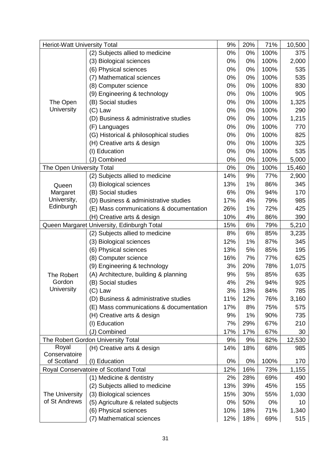| <b>Heriot-Watt University Total</b>        |                                         | 9%  | 20% | 71%  | 10,500 |
|--------------------------------------------|-----------------------------------------|-----|-----|------|--------|
|                                            | (2) Subjects allied to medicine         | 0%  | 0%  | 100% | 375    |
|                                            | (3) Biological sciences                 | 0%  | 0%  | 100% | 2,000  |
|                                            | (6) Physical sciences                   | 0%  | 0%  | 100% | 535    |
|                                            | (7) Mathematical sciences               | 0%  | 0%  | 100% | 535    |
|                                            | (8) Computer science                    | 0%  | 0%  | 100% | 830    |
|                                            | (9) Engineering & technology            | 0%  | 0%  | 100% | 905    |
| The Open                                   | (B) Social studies                      | 0%  | 0%  | 100% | 1,325  |
| <b>University</b>                          | $(C)$ Law                               | 0%  | 0%  | 100% | 290    |
|                                            | (D) Business & administrative studies   | 0%  | 0%  | 100% | 1,215  |
|                                            | (F) Languages                           | 0%  | 0%  | 100% | 770    |
|                                            | (G) Historical & philosophical studies  | 0%  | 0%  | 100% | 825    |
|                                            | (H) Creative arts & design              | 0%  | 0%  | 100% | 325    |
|                                            | (I) Education                           | 0%  | 0%  | 100% | 535    |
|                                            | (J) Combined                            | 0%  | 0%  | 100% | 5,000  |
| The Open University Total                  |                                         | 0%  | 0%  | 100% | 15,460 |
|                                            | (2) Subjects allied to medicine         | 14% | 9%  | 77%  | 2,900  |
| Queen                                      | (3) Biological sciences                 | 13% | 1%  | 86%  | 345    |
| Margaret                                   | (B) Social studies                      | 6%  | 0%  | 94%  | 170    |
| University,                                | (D) Business & administrative studies   | 17% | 4%  | 79%  | 985    |
| Edinburgh                                  | (E) Mass communications & documentation | 26% | 1%  | 72%  | 425    |
|                                            | (H) Creative arts & design              | 10% | 4%  | 86%  | 390    |
| Queen Margaret University, Edinburgh Total |                                         | 15% | 6%  | 79%  | 5,210  |
|                                            | (2) Subjects allied to medicine         | 8%  | 6%  | 85%  | 3,235  |
|                                            | (3) Biological sciences                 | 12% | 1%  | 87%  | 345    |
|                                            | (6) Physical sciences                   | 13% | 5%  | 85%  | 195    |
|                                            | (8) Computer science                    | 16% | 7%  | 77%  | 625    |
|                                            | (9) Engineering & technology            | 3%  | 20% | 78%  | 1,075  |
| The Robert                                 | (A) Architecture, building & planning   | 9%  | 5%  | 85%  | 635    |
| Gordon                                     | (B) Social studies                      | 4%  | 2%  | 94%  | 925    |
| University                                 | $(C)$ Law                               | 3%  | 13% | 84%  | 785    |
|                                            | (D) Business & administrative studies   | 11% | 12% | 76%  | 3,160  |
|                                            | (E) Mass communications & documentation | 17% | 8%  | 75%  | 575    |
|                                            | (H) Creative arts & design              | 9%  | 1%  | 90%  | 735    |
|                                            | (I) Education                           | 7%  | 29% | 67%  | 210    |
|                                            | (J) Combined                            | 17% | 17% | 67%  | 30     |
|                                            | The Robert Gordon University Total      | 9%  | 9%  | 82%  | 12,530 |
| Royal                                      | (H) Creative arts & design              | 14% | 18% | 68%  | 985    |
| Conservatoire                              |                                         |     |     |      |        |
| of Scotland                                | (I) Education                           | 0%  | 0%  | 100% | 170    |
|                                            | Royal Conservatoire of Scotland Total   | 12% | 16% | 73%  | 1,155  |
|                                            | (1) Medicine & dentistry                | 2%  | 28% | 69%  | 490    |
|                                            | (2) Subjects allied to medicine         | 13% | 39% | 45%  | 155    |
| The University                             | (3) Biological sciences                 | 15% | 30% | 55%  | 1,030  |
| of St Andrews                              | (5) Agriculture & related subjects      | 0%  | 50% | 0%   | 10     |
|                                            | (6) Physical sciences                   | 10% | 18% | 71%  | 1,340  |
|                                            | (7) Mathematical sciences               | 12% | 18% | 69%  | 515    |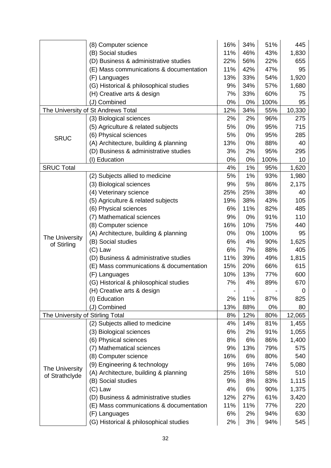|                                  | (8) Computer science                    | 16% | 34% | 51%  | 445    |
|----------------------------------|-----------------------------------------|-----|-----|------|--------|
|                                  | (B) Social studies                      | 11% | 46% | 43%  | 1,830  |
|                                  | (D) Business & administrative studies   | 22% | 56% | 22%  | 655    |
|                                  | (E) Mass communications & documentation | 11% | 42% | 47%  | 95     |
|                                  | (F) Languages                           | 13% | 33% | 54%  | 1,920  |
|                                  | (G) Historical & philosophical studies  | 9%  | 34% | 57%  | 1,680  |
|                                  | (H) Creative arts & design              | 7%  | 33% | 60%  | 75     |
|                                  | (J) Combined                            | 0%  | 0%  | 100% | 95     |
|                                  | The University of St Andrews Total      | 12% | 34% | 55%  | 10,330 |
|                                  | (3) Biological sciences                 | 2%  | 2%  | 96%  | 275    |
|                                  | (5) Agriculture & related subjects      | 5%  | 0%  | 95%  | 715    |
| <b>SRUC</b>                      | (6) Physical sciences                   | 5%  | 0%  | 95%  | 285    |
|                                  | (A) Architecture, building & planning   | 13% | 0%  | 88%  | 40     |
|                                  | (D) Business & administrative studies   | 3%  | 2%  | 95%  | 295    |
|                                  | (I) Education                           | 0%  | 0%  | 100% | 10     |
| <b>SRUC Total</b>                |                                         | 4%  | 1%  | 95%  | 1,620  |
|                                  | (2) Subjects allied to medicine         | 5%  | 1%  | 93%  | 1,980  |
|                                  | (3) Biological sciences                 | 9%  | 5%  | 86%  | 2,175  |
|                                  | (4) Veterinary science                  | 25% | 25% | 38%  | 40     |
|                                  | (5) Agriculture & related subjects      | 19% | 38% | 43%  | 105    |
|                                  | (6) Physical sciences                   | 6%  | 11% | 82%  | 485    |
|                                  | (7) Mathematical sciences               | 9%  | 0%  | 91%  | 110    |
|                                  | (8) Computer science                    | 16% | 10% | 75%  | 440    |
| The University                   | (A) Architecture, building & planning   | 0%  | 0%  | 100% | 95     |
| of Stirling                      | (B) Social studies                      | 6%  | 4%  | 90%  | 1,625  |
|                                  | $(C)$ Law                               | 6%  | 7%  | 88%  | 405    |
|                                  | (D) Business & administrative studies   | 11% | 39% | 49%  | 1,815  |
|                                  | (E) Mass communications & documentation | 15% | 20% | 66%  | 615    |
|                                  | (F) Languages                           | 10% | 13% | 77%  | 600    |
|                                  | (G) Historical & philosophical studies  | 7%  | 4%  | 89%  | 670    |
|                                  | (H) Creative arts & design              |     |     |      | 0      |
|                                  | (I) Education                           | 2%  | 11% | 87%  | 825    |
|                                  | (J) Combined                            | 13% | 88% | 0%   | 80     |
| The University of Stirling Total |                                         | 8%  | 12% | 80%  | 12,065 |
|                                  | (2) Subjects allied to medicine         | 4%  | 14% | 81%  | 1,455  |
|                                  | (3) Biological sciences                 | 6%  | 2%  | 91%  | 1,055  |
|                                  | (6) Physical sciences                   | 8%  | 6%  | 86%  | 1,400  |
|                                  | (7) Mathematical sciences               | 9%  | 13% | 79%  | 575    |
|                                  | (8) Computer science                    | 16% | 6%  | 80%  | 540    |
| The University                   | (9) Engineering & technology            | 9%  | 16% | 74%  | 5,080  |
| of Strathclyde                   | (A) Architecture, building & planning   | 25% | 16% | 58%  | 510    |
|                                  | (B) Social studies                      | 9%  | 8%  | 83%  | 1,115  |
|                                  | $(C)$ Law                               | 4%  | 6%  | 90%  | 1,375  |
|                                  | (D) Business & administrative studies   | 12% | 27% | 61%  | 3,420  |
|                                  | (E) Mass communications & documentation | 11% | 11% | 77%  | 220    |
|                                  | (F) Languages                           | 6%  | 2%  | 94%  | 630    |
|                                  | (G) Historical & philosophical studies  | 2%  | 3%  | 94%  | 545    |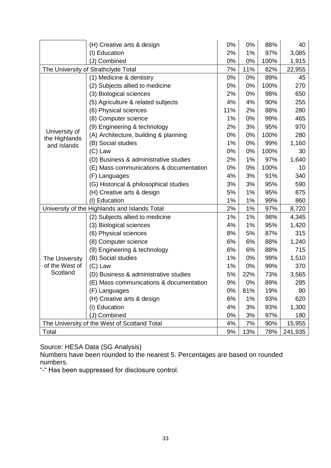|                                | (H) Creative arts & design                    | 0%  | 0%  | 88%  | 40      |
|--------------------------------|-----------------------------------------------|-----|-----|------|---------|
|                                | (I) Education                                 | 2%  | 1%  | 97%  | 3,085   |
|                                | (J) Combined                                  | 0%  | 0%  | 100% | 1,915   |
|                                | The University of Strathclyde Total           | 7%  | 11% | 82%  | 22,955  |
|                                | (1) Medicine & dentistry                      | 0%  | 0%  | 89%  | 45      |
|                                | (2) Subjects allied to medicine               | 0%  | 0%  | 100% | 270     |
|                                | (3) Biological sciences                       | 2%  | 0%  | 98%  | 650     |
|                                | (5) Agriculture & related subjects            | 4%  | 4%  | 90%  | 255     |
|                                | (6) Physical sciences                         | 11% | 2%  | 88%  | 280     |
|                                | (8) Computer science                          | 1%  | 0%  | 99%  | 465     |
|                                | (9) Engineering & technology                  | 2%  | 3%  | 95%  | 970     |
| University of<br>the Highlands | (A) Architecture, building & planning         | 0%  | 0%  | 100% | 280     |
| and Islands                    | (B) Social studies                            | 1%  | 0%  | 99%  | 1,160   |
|                                | $(C)$ Law                                     | 0%  | 0%  | 100% | 30      |
|                                | (D) Business & administrative studies         | 2%  | 1%  | 97%  | 1,640   |
|                                | (E) Mass communications & documentation       | 0%  | 0%  | 100% | 10      |
|                                | (F) Languages                                 | 4%  | 3%  | 91%  | 340     |
|                                | (G) Historical & philosophical studies        | 3%  | 3%  | 95%  | 590     |
|                                | (H) Creative arts & design                    | 5%  | 1%  | 95%  | 875     |
|                                | (I) Education                                 | 1%  | 1%  | 99%  | 860     |
|                                | University of the Highlands and Islands Total | 2%  | 1%  | 97%  | 8,720   |
|                                | (2) Subjects allied to medicine               | 1%  | 1%  | 98%  | 4,345   |
|                                | (3) Biological sciences                       | 4%  | 1%  | 95%  | 1,420   |
|                                | (6) Physical sciences                         | 8%  | 5%  | 87%  | 315     |
|                                | (8) Computer science                          | 6%  | 6%  | 88%  | 1,240   |
|                                | (9) Engineering & technology                  | 6%  | 6%  | 88%  | 715     |
| The University                 | (B) Social studies                            | 1%  | 0%  | 99%  | 1,510   |
| of the West of                 | $(C)$ Law                                     | 1%  | 0%  | 99%  | 370     |
| Scotland                       | (D) Business & administrative studies         | 5%  | 22% | 73%  | 3,565   |
|                                | (E) Mass communications & documentation       | 9%  | 0%  | 89%  | 285     |
|                                | (F) Languages                                 | 0%  | 81% | 19%  | 80      |
|                                | (H) Creative arts & design                    | 6%  | 1%  | 93%  | 620     |
|                                | (I) Education                                 | 4%  | 3%  | 93%  | 1,300   |
|                                | (J) Combined                                  | 0%  | 3%  | 97%  | 180     |
|                                | The University of the West of Scotland Total  | 4%  | 7%  | 90%  | 15,955  |
| Total                          |                                               | 9%  | 13% | 78%  | 241,935 |

Source: HESA Data (SG Analysis)

Numbers have been rounded to the nearest 5. Percentages are based on rounded numbers.

"-" Has been suppressed for disclosure control.